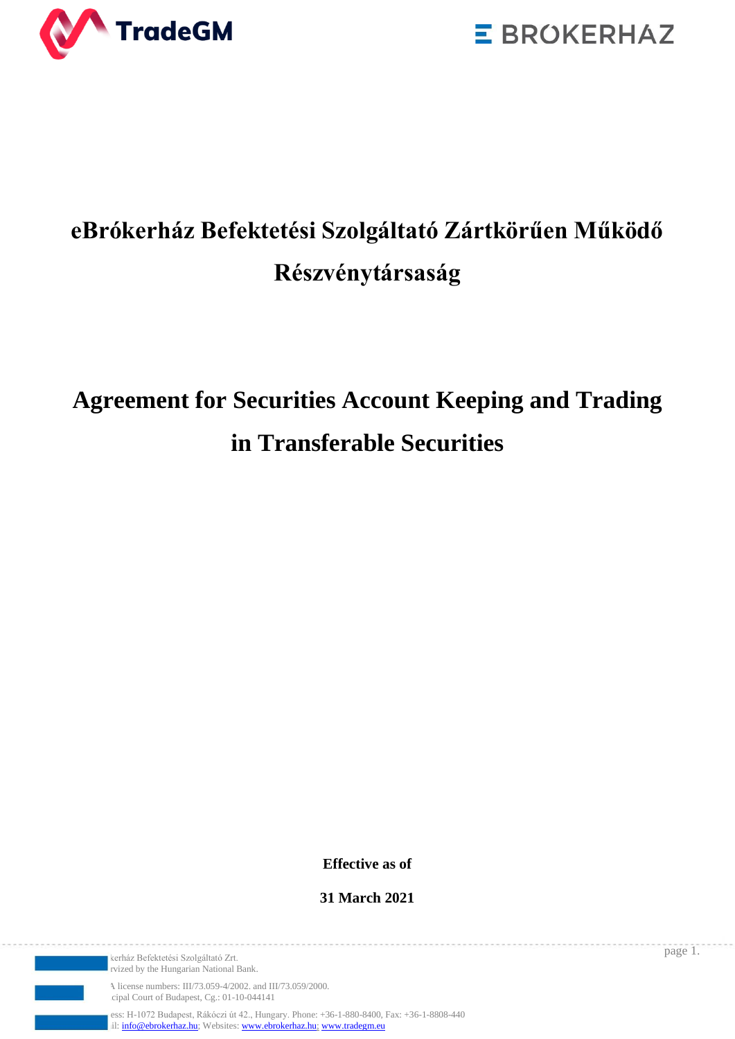



## **eBrókerház Befektetési Szolgáltató Zártkörűen Működő Részvénytársaság**

# **Agreement for Securities Account Keeping and Trading in Transferable Securities**

**Effective as of**

**31 March 2021**

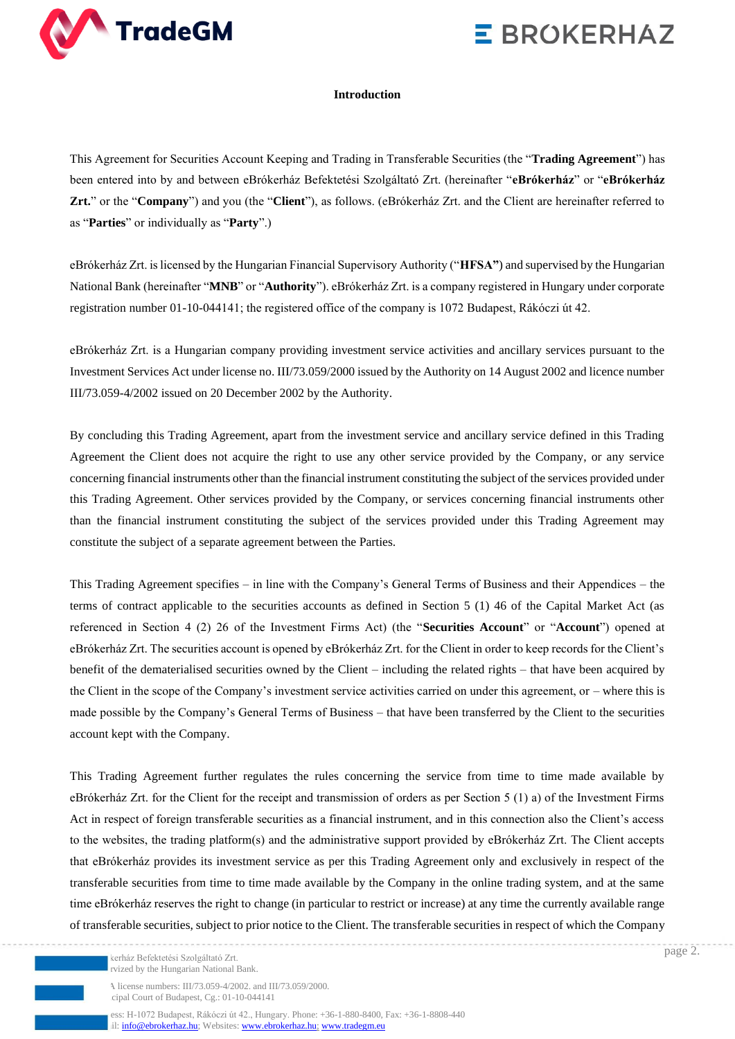

#### **Introduction**

This Agreement for Securities Account Keeping and Trading in Transferable Securities (the "**Trading Agreement**") has been entered into by and between eBrókerház Befektetési Szolgáltató Zrt. (hereinafter "**eBrókerház**" or "**eBrókerház Zrt.**" or the "**Company**") and you (the "**Client**"), as follows. (eBrókerház Zrt. and the Client are hereinafter referred to as "**Parties**" or individually as "**Party**".)

eBrókerház Zrt. is licensed by the Hungarian Financial Supervisory Authority ("**HFSA"**) and supervised by the Hungarian National Bank (hereinafter "**MNB**" or "**Authority**"). eBrókerház Zrt. is a company registered in Hungary under corporate registration number 01-10-044141; the registered office of the company is 1072 Budapest, Rákóczi út 42.

eBrókerház Zrt. is a Hungarian company providing investment service activities and ancillary services pursuant to the Investment Services Act under license no. III/73.059/2000 issued by the Authority on 14 August 2002 and licence number III/73.059-4/2002 issued on 20 December 2002 by the Authority.

By concluding this Trading Agreement, apart from the investment service and ancillary service defined in this Trading Agreement the Client does not acquire the right to use any other service provided by the Company, or any service concerning financial instruments other than the financial instrument constituting the subject of the services provided under this Trading Agreement. Other services provided by the Company, or services concerning financial instruments other than the financial instrument constituting the subject of the services provided under this Trading Agreement may constitute the subject of a separate agreement between the Parties.

This Trading Agreement specifies – in line with the Company's General Terms of Business and their Appendices – the terms of contract applicable to the securities accounts as defined in Section 5 (1) 46 of the Capital Market Act (as referenced in Section 4 (2) 26 of the Investment Firms Act) (the "**Securities Account**" or "**Account**") opened at eBrókerház Zrt. The securities account is opened by eBrókerház Zrt. for the Client in order to keep records for the Client's benefit of the dematerialised securities owned by the Client – including the related rights – that have been acquired by the Client in the scope of the Company's investment service activities carried on under this agreement, or – where this is made possible by the Company's General Terms of Business – that have been transferred by the Client to the securities account kept with the Company.

This Trading Agreement further regulates the rules concerning the service from time to time made available by eBrókerház Zrt. for the Client for the receipt and transmission of orders as per Section 5 (1) a) of the Investment Firms Act in respect of foreign transferable securities as a financial instrument, and in this connection also the Client's access to the websites, the trading platform(s) and the administrative support provided by eBrókerház Zrt. The Client accepts that eBrókerház provides its investment service as per this Trading Agreement only and exclusively in respect of the transferable securities from time to time made available by the Company in the online trading system, and at the same time eBrókerház reserves the right to change (in particular to restrict or increase) at any time the currently available range of transferable securities, subject to prior notice to the Client. The transferable securities in respect of which the Company

A license numbers: III/73.059-4/2002. and III/73.059/2000. cipal Court of Budapest, Cg.: 01-10-044141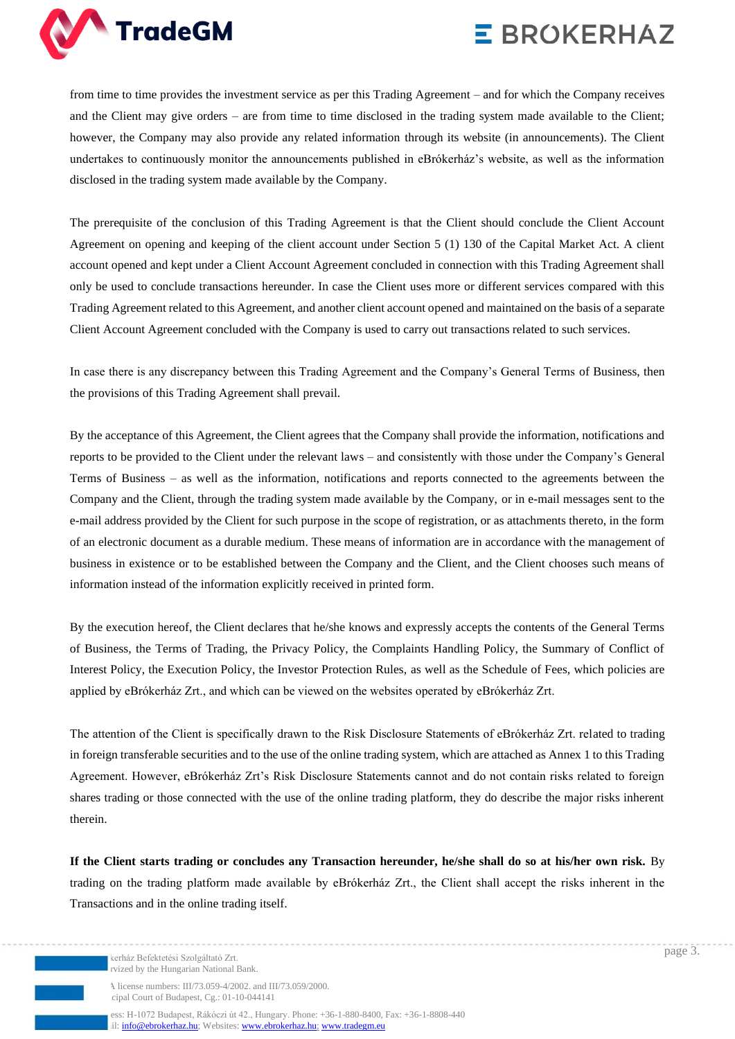

from time to time provides the investment service as per this Trading Agreement – and for which the Company receives and the Client may give orders – are from time to time disclosed in the trading system made available to the Client; however, the Company may also provide any related information through its website (in announcements). The Client undertakes to continuously monitor the announcements published in eBrókerház's website, as well as the information disclosed in the trading system made available by the Company.

The prerequisite of the conclusion of this Trading Agreement is that the Client should conclude the Client Account Agreement on opening and keeping of the client account under Section 5 (1) 130 of the Capital Market Act. A client account opened and kept under a Client Account Agreement concluded in connection with this Trading Agreement shall only be used to conclude transactions hereunder. In case the Client uses more or different services compared with this Trading Agreement related to this Agreement, and another client account opened and maintained on the basis of a separate Client Account Agreement concluded with the Company is used to carry out transactions related to such services.

In case there is any discrepancy between this Trading Agreement and the Company's General Terms of Business, then the provisions of this Trading Agreement shall prevail.

By the acceptance of this Agreement, the Client agrees that the Company shall provide the information, notifications and reports to be provided to the Client under the relevant laws – and consistently with those under the Company's General Terms of Business – as well as the information, notifications and reports connected to the agreements between the Company and the Client, through the trading system made available by the Company, or in e-mail messages sent to the e-mail address provided by the Client for such purpose in the scope of registration, or as attachments thereto, in the form of an electronic document as a durable medium. These means of information are in accordance with the management of business in existence or to be established between the Company and the Client, and the Client chooses such means of information instead of the information explicitly received in printed form.

By the execution hereof, the Client declares that he/she knows and expressly accepts the contents of the General Terms of Business, the Terms of Trading, the Privacy Policy, the Complaints Handling Policy, the Summary of Conflict of Interest Policy, the Execution Policy, the Investor Protection Rules, as well as the Schedule of Fees, which policies are applied by eBrókerház Zrt., and which can be viewed on the websites operated by eBrókerház Zrt.

The attention of the Client is specifically drawn to the Risk Disclosure Statements of eBrókerház Zrt. related to trading in foreign transferable securities and to the use of the online trading system, which are attached as Annex 1 to this Trading Agreement. However, eBrókerház Zrt's Risk Disclosure Statements cannot and do not contain risks related to foreign shares trading or those connected with the use of the online trading platform, they do describe the major risks inherent therein.

**If the Client starts trading or concludes any Transaction hereunder, he/she shall do so at his/her own risk.** By trading on the trading platform made available by eBrókerház Zrt., the Client shall accept the risks inherent in the Transactions and in the online trading itself.

kerház Befektetési Szolgáltató Zrt. rvized by the Hungarian National Bank.

A license numbers: III/73.059-4/2002. and III/73.059/2000. cipal Court of Budapest, Cg.: 01-10-044141

ess: H-1072 Budapest, Rákóczi út 42., Hungary. Phone: +36-1-880-8400, Fax: +36-1-8808-440 il[: info@ebrokerhaz.hu;](mailto:info@ebrokerhaz.hu) Websites: [www.ebrokerhaz.hu;](http://www.ebrokerhaz.hu/) [www.tradegm.eu](http://www.tradegm.eu/)

page 3.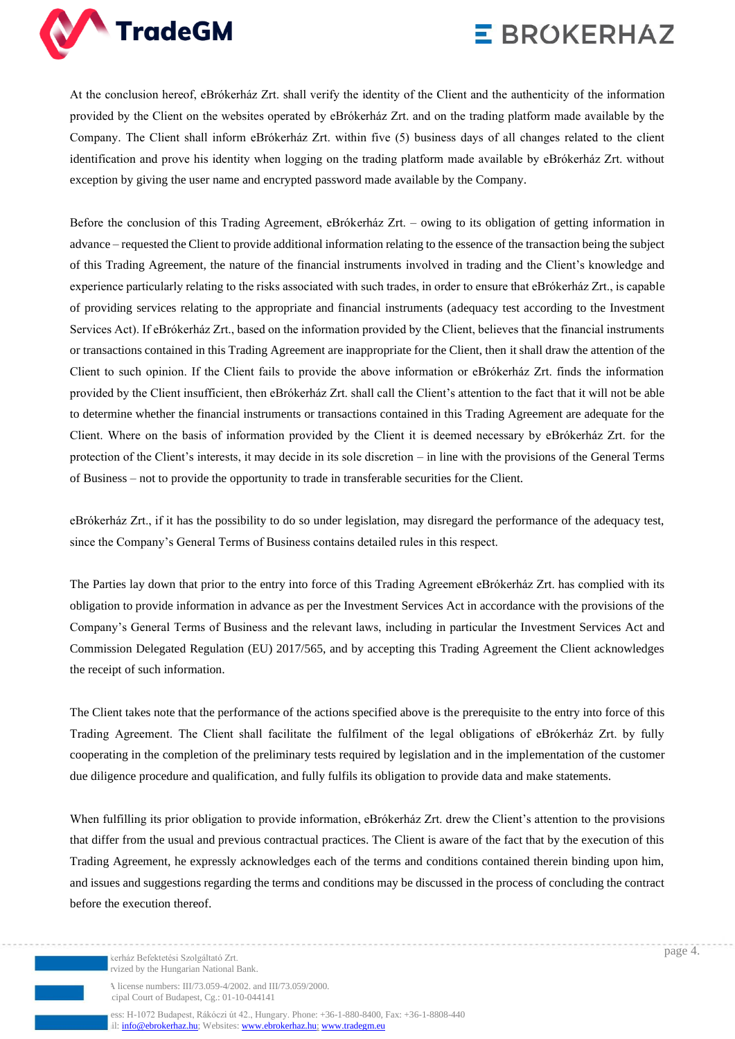

At the conclusion hereof, eBrókerház Zrt. shall verify the identity of the Client and the authenticity of the information provided by the Client on the websites operated by eBrókerház Zrt. and on the trading platform made available by the Company. The Client shall inform eBrókerház Zrt. within five (5) business days of all changes related to the client identification and prove his identity when logging on the trading platform made available by eBrókerház Zrt. without exception by giving the user name and encrypted password made available by the Company.

Before the conclusion of this Trading Agreement, eBrókerház Zrt. – owing to its obligation of getting information in advance – requested the Client to provide additional information relating to the essence of the transaction being the subject of this Trading Agreement, the nature of the financial instruments involved in trading and the Client's knowledge and experience particularly relating to the risks associated with such trades, in order to ensure that eBrókerház Zrt., is capable of providing services relating to the appropriate and financial instruments (adequacy test according to the Investment Services Act). If eBrókerház Zrt., based on the information provided by the Client, believes that the financial instruments or transactions contained in this Trading Agreement are inappropriate for the Client, then it shall draw the attention of the Client to such opinion. If the Client fails to provide the above information or eBrókerház Zrt. finds the information provided by the Client insufficient, then eBrókerház Zrt. shall call the Client's attention to the fact that it will not be able to determine whether the financial instruments or transactions contained in this Trading Agreement are adequate for the Client. Where on the basis of information provided by the Client it is deemed necessary by eBrókerház Zrt. for the protection of the Client's interests, it may decide in its sole discretion – in line with the provisions of the General Terms of Business – not to provide the opportunity to trade in transferable securities for the Client.

eBrókerház Zrt., if it has the possibility to do so under legislation, may disregard the performance of the adequacy test, since the Company's General Terms of Business contains detailed rules in this respect.

The Parties lay down that prior to the entry into force of this Trading Agreement eBrókerház Zrt. has complied with its obligation to provide information in advance as per the Investment Services Act in accordance with the provisions of the Company's General Terms of Business and the relevant laws, including in particular the Investment Services Act and Commission Delegated Regulation (EU) 2017/565, and by accepting this Trading Agreement the Client acknowledges the receipt of such information.

The Client takes note that the performance of the actions specified above is the prerequisite to the entry into force of this Trading Agreement. The Client shall facilitate the fulfilment of the legal obligations of eBrókerház Zrt. by fully cooperating in the completion of the preliminary tests required by legislation and in the implementation of the customer due diligence procedure and qualification, and fully fulfils its obligation to provide data and make statements.

When fulfilling its prior obligation to provide information, eBrókerház Zrt. drew the Client's attention to the provisions that differ from the usual and previous contractual practices. The Client is aware of the fact that by the execution of this Trading Agreement, he expressly acknowledges each of the terms and conditions contained therein binding upon him, and issues and suggestions regarding the terms and conditions may be discussed in the process of concluding the contract before the execution thereof.

A license numbers: III/73.059-4/2002. and III/73.059/2000. cipal Court of Budapest, Cg.: 01-10-044141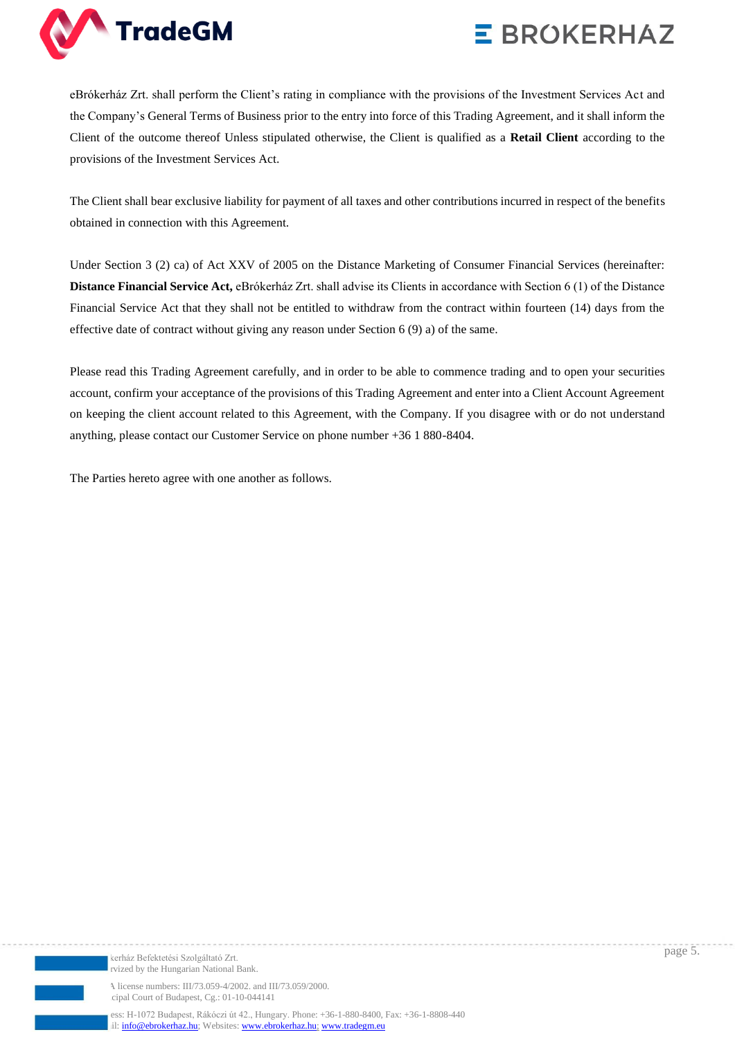

eBrókerház Zrt. shall perform the Client's rating in compliance with the provisions of the Investment Services Act and the Company's General Terms of Business prior to the entry into force of this Trading Agreement, and it shall inform the Client of the outcome thereof Unless stipulated otherwise, the Client is qualified as a **Retail Client** according to the provisions of the Investment Services Act.

The Client shall bear exclusive liability for payment of all taxes and other contributions incurred in respect of the benefits obtained in connection with this Agreement.

Under Section 3 (2) ca) of Act XXV of 2005 on the Distance Marketing of Consumer Financial Services (hereinafter: **Distance Financial Service Act,** eBrókerház Zrt. shall advise its Clients in accordance with Section 6 (1) of the Distance Financial Service Act that they shall not be entitled to withdraw from the contract within fourteen (14) days from the effective date of contract without giving any reason under Section 6 (9) a) of the same.

Please read this Trading Agreement carefully, and in order to be able to commence trading and to open your securities account, confirm your acceptance of the provisions of this Trading Agreement and enter into a Client Account Agreement on keeping the client account related to this Agreement, with the Company. If you disagree with or do not understand anything, please contact our Customer Service on phone number +36 1 880-8404.

The Parties hereto agree with one another as follows.



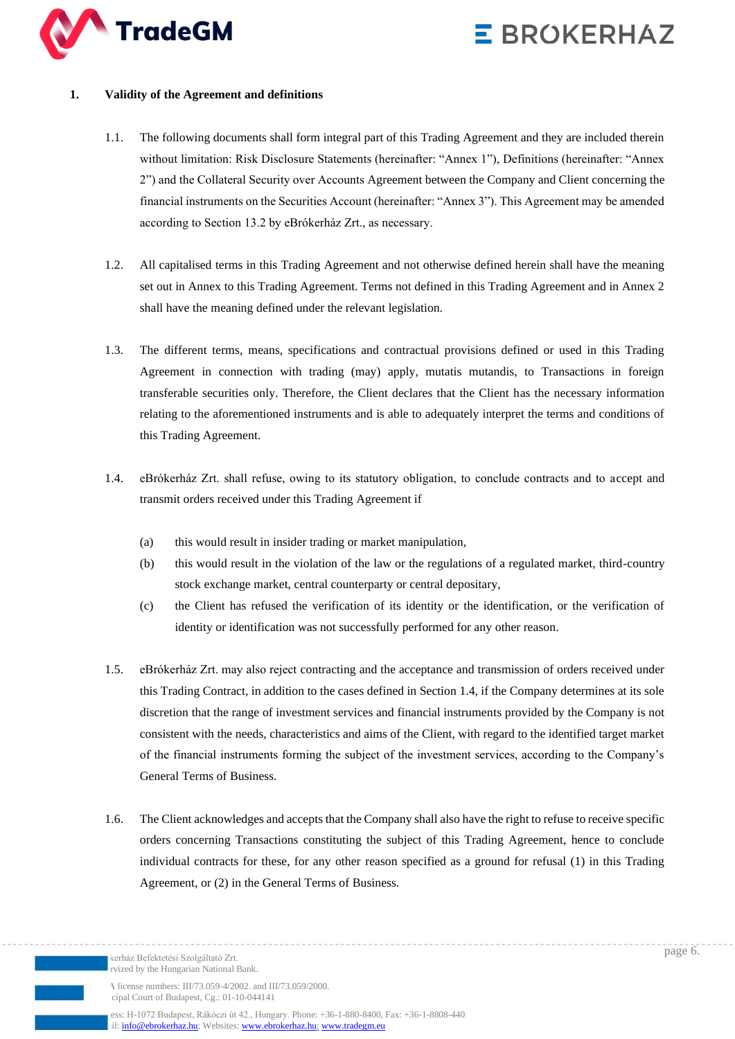

### **1. Validity of the Agreement and definitions**

- 1.1. The following documents shall form integral part of this Trading Agreement and they are included therein without limitation: Risk Disclosure Statements (hereinafter: "Annex 1"), Definitions (hereinafter: "Annex 2") and the Collateral Security over Accounts Agreement between the Company and Client concerning the financial instruments on the Securities Account (hereinafter: "Annex 3"). This Agreement may be amended according to Section 13.2 by eBrókerház Zrt., as necessary.
- 1.2. All capitalised terms in this Trading Agreement and not otherwise defined herein shall have the meaning set out in Annex to this Trading Agreement. Terms not defined in this Trading Agreement and in Annex 2 shall have the meaning defined under the relevant legislation.
- 1.3. The different terms, means, specifications and contractual provisions defined or used in this Trading Agreement in connection with trading (may) apply, mutatis mutandis, to Transactions in foreign transferable securities only. Therefore, the Client declares that the Client has the necessary information relating to the aforementioned instruments and is able to adequately interpret the terms and conditions of this Trading Agreement.
- 1.4. eBrókerház Zrt. shall refuse, owing to its statutory obligation, to conclude contracts and to accept and transmit orders received under this Trading Agreement if
	- (a) this would result in insider trading or market manipulation,
	- (b) this would result in the violation of the law or the regulations of a regulated market, third-country stock exchange market, central counterparty or central depositary,
	- (c) the Client has refused the verification of its identity or the identification, or the verification of identity or identification was not successfully performed for any other reason.
- 1.5. eBrókerház Zrt. may also reject contracting and the acceptance and transmission of orders received under this Trading Contract, in addition to the cases defined in Section 1.4, if the Company determines at its sole discretion that the range of investment services and financial instruments provided by the Company is not consistent with the needs, characteristics and aims of the Client, with regard to the identified target market of the financial instruments forming the subject of the investment services, according to the Company's General Terms of Business.
- 1.6. The Client acknowledges and accepts that the Company shall also have the right to refuse to receive specific orders concerning Transactions constituting the subject of this Trading Agreement, hence to conclude individual contracts for these, for any other reason specified as a ground for refusal (1) in this Trading Agreement, or (2) in the General Terms of Business.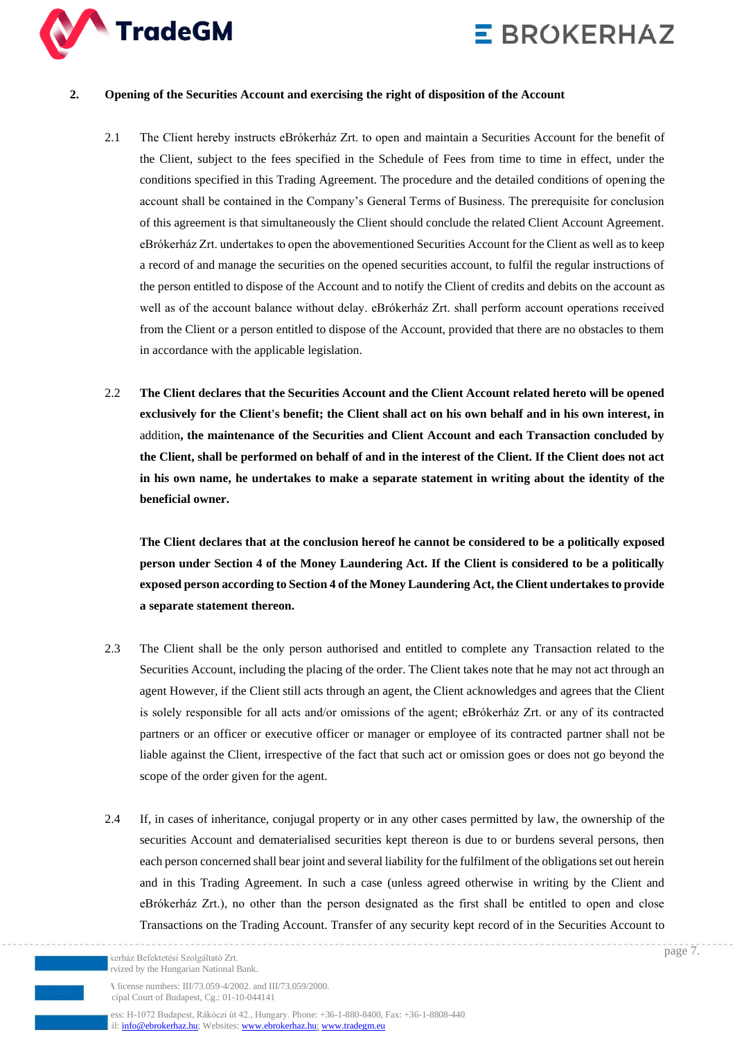

#### **2. Opening of the Securities Account and exercising the right of disposition of the Account**

- 2.1 The Client hereby instructs eBrókerház Zrt. to open and maintain a Securities Account for the benefit of the Client, subject to the fees specified in the Schedule of Fees from time to time in effect, under the conditions specified in this Trading Agreement. The procedure and the detailed conditions of opening the account shall be contained in the Company's General Terms of Business. The prerequisite for conclusion of this agreement is that simultaneously the Client should conclude the related Client Account Agreement. eBrókerház Zrt. undertakes to open the abovementioned Securities Account for the Client as well as to keep a record of and manage the securities on the opened securities account, to fulfil the regular instructions of the person entitled to dispose of the Account and to notify the Client of credits and debits on the account as well as of the account balance without delay. eBrókerház Zrt. shall perform account operations received from the Client or a person entitled to dispose of the Account, provided that there are no obstacles to them in accordance with the applicable legislation.
- 2.2 **The Client declares that the Securities Account and the Client Account related hereto will be opened exclusively for the Client's benefit; the Client shall act on his own behalf and in his own interest, in**  addition**, the maintenance of the Securities and Client Account and each Transaction concluded by the Client, shall be performed on behalf of and in the interest of the Client. If the Client does not act in his own name, he undertakes to make a separate statement in writing about the identity of the beneficial owner.**

**The Client declares that at the conclusion hereof he cannot be considered to be a politically exposed person under Section 4 of the Money Laundering Act. If the Client is considered to be a politically exposed person according to Section 4 of the Money Laundering Act, the Client undertakes to provide a separate statement thereon.**

- 2.3 The Client shall be the only person authorised and entitled to complete any Transaction related to the Securities Account, including the placing of the order. The Client takes note that he may not act through an agent However, if the Client still acts through an agent, the Client acknowledges and agrees that the Client is solely responsible for all acts and/or omissions of the agent; eBrókerház Zrt. or any of its contracted partners or an officer or executive officer or manager or employee of its contracted partner shall not be liable against the Client, irrespective of the fact that such act or omission goes or does not go beyond the scope of the order given for the agent.
- 2.4 If, in cases of inheritance, conjugal property or in any other cases permitted by law, the ownership of the securities Account and dematerialised securities kept thereon is due to or burdens several persons, then each person concerned shall bear joint and several liability for the fulfilment of the obligations set out herein and in this Trading Agreement. In such a case (unless agreed otherwise in writing by the Client and eBrókerház Zrt.), no other than the person designated as the first shall be entitled to open and close Transactions on the Trading Account. Transfer of any security kept record of in the Securities Account to

kerház Befektetési Szolgáltató Zrt. rvized by the Hungarian National Bank.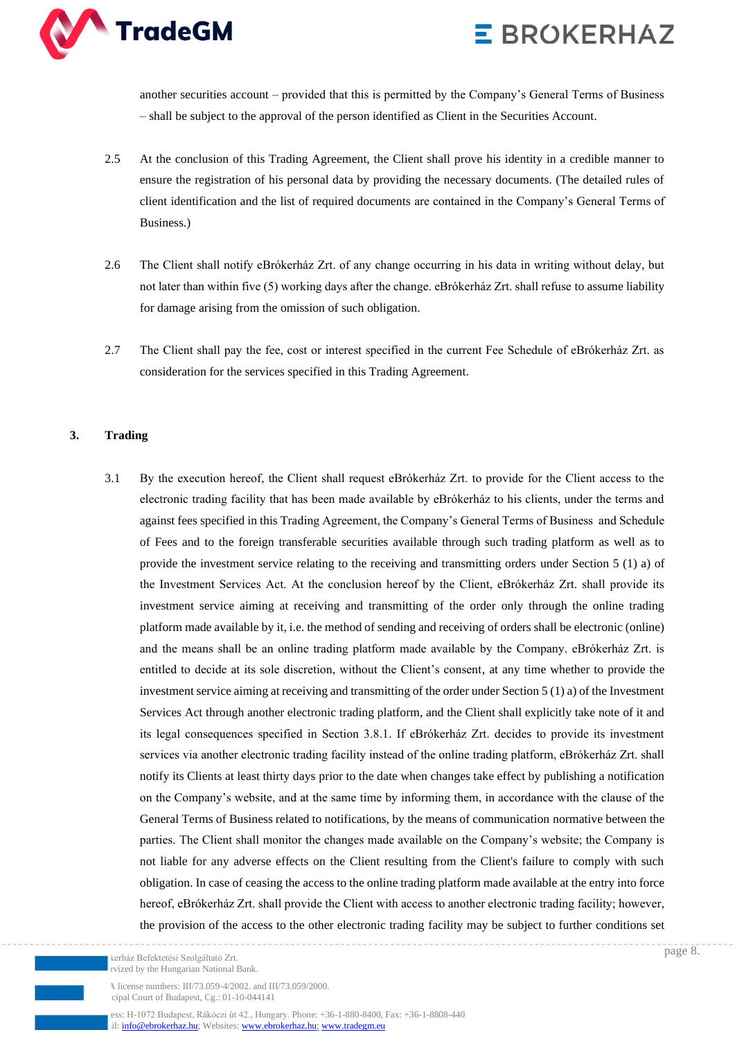



another securities account – provided that this is permitted by the Company's General Terms of Business – shall be subject to the approval of the person identified as Client in the Securities Account.

- 2.5 At the conclusion of this Trading Agreement, the Client shall prove his identity in a credible manner to ensure the registration of his personal data by providing the necessary documents. (The detailed rules of client identification and the list of required documents are contained in the Company's General Terms of Business.)
- 2.6 The Client shall notify eBrókerház Zrt. of any change occurring in his data in writing without delay, but not later than within five (5) working days after the change. eBrókerház Zrt. shall refuse to assume liability for damage arising from the omission of such obligation.
- 2.7 The Client shall pay the fee, cost or interest specified in the current Fee Schedule of eBrókerház Zrt. as consideration for the services specified in this Trading Agreement.

#### **3. Trading**

3.1 By the execution hereof, the Client shall request eBrókerház Zrt. to provide for the Client access to the electronic trading facility that has been made available by eBrókerház to his clients, under the terms and against fees specified in this Trading Agreement, the Company's General Terms of Business and Schedule of Fees and to the foreign transferable securities available through such trading platform as well as to provide the investment service relating to the receiving and transmitting orders under Section 5 (1) a) of the Investment Services Act. At the conclusion hereof by the Client, eBrókerház Zrt. shall provide its investment service aiming at receiving and transmitting of the order only through the online trading platform made available by it, i.e. the method of sending and receiving of orders shall be electronic (online) and the means shall be an online trading platform made available by the Company. eBrókerház Zrt. is entitled to decide at its sole discretion, without the Client's consent, at any time whether to provide the investment service aiming at receiving and transmitting of the order under Section 5 (1) a) of the Investment Services Act through another electronic trading platform, and the Client shall explicitly take note of it and its legal consequences specified in Section 3.8.1. If eBrókerház Zrt. decides to provide its investment services via another electronic trading facility instead of the online trading platform, eBrókerház Zrt. shall notify its Clients at least thirty days prior to the date when changes take effect by publishing a notification on the Company's website, and at the same time by informing them, in accordance with the clause of the General Terms of Business related to notifications, by the means of communication normative between the parties. The Client shall monitor the changes made available on the Company's website; the Company is not liable for any adverse effects on the Client resulting from the Client's failure to comply with such obligation. In case of ceasing the access to the online trading platform made available at the entry into force hereof, eBrókerház Zrt. shall provide the Client with access to another electronic trading facility; however, the provision of the access to the other electronic trading facility may be subject to further conditions set

kerház Befektetési Szolgáltató Zrt. rvized by the Hungarian National Bank

A license numbers: III/73.059-4/2002. and III/73.059/2000. cipal Court of Budapest, Cg.: 01-10-044141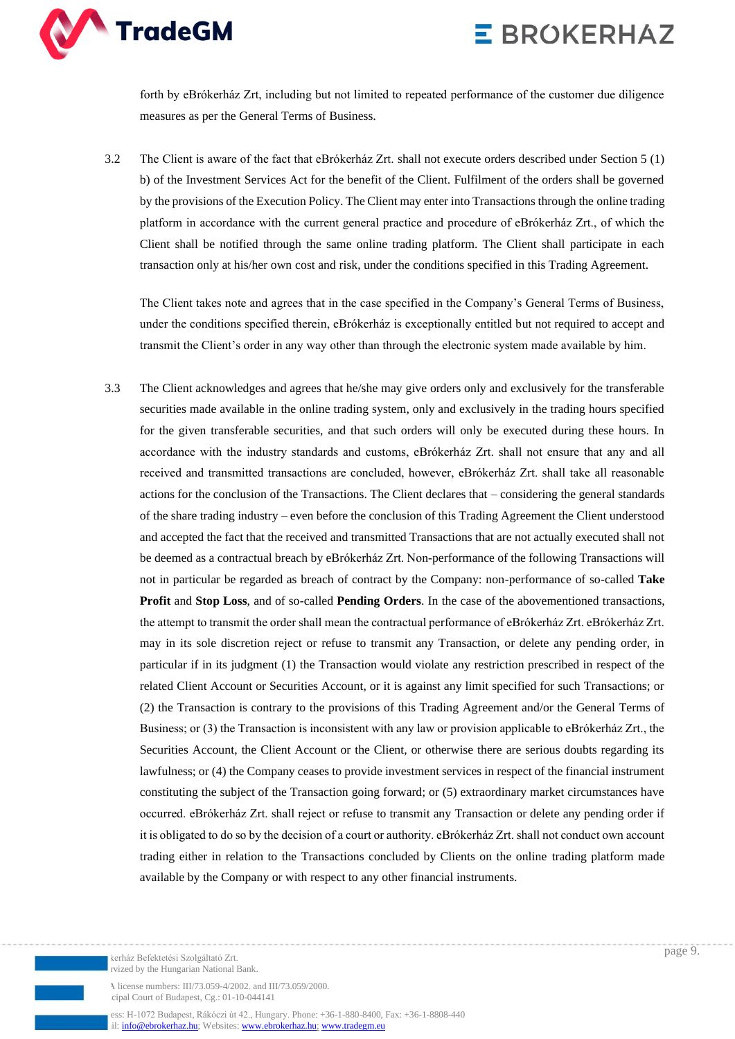

forth by eBrókerház Zrt, including but not limited to repeated performance of the customer due diligence measures as per the General Terms of Business.

3.2 The Client is aware of the fact that eBrókerház Zrt. shall not execute orders described under Section 5 (1) b) of the Investment Services Act for the benefit of the Client. Fulfilment of the orders shall be governed by the provisions of the Execution Policy. The Client may enter into Transactions through the online trading platform in accordance with the current general practice and procedure of eBrókerház Zrt., of which the Client shall be notified through the same online trading platform. The Client shall participate in each transaction only at his/her own cost and risk, under the conditions specified in this Trading Agreement.

The Client takes note and agrees that in the case specified in the Company's General Terms of Business, under the conditions specified therein, eBrókerház is exceptionally entitled but not required to accept and transmit the Client's order in any way other than through the electronic system made available by him.

3.3 The Client acknowledges and agrees that he/she may give orders only and exclusively for the transferable securities made available in the online trading system, only and exclusively in the trading hours specified for the given transferable securities, and that such orders will only be executed during these hours. In accordance with the industry standards and customs, eBrókerház Zrt. shall not ensure that any and all received and transmitted transactions are concluded, however, eBrókerház Zrt. shall take all reasonable actions for the conclusion of the Transactions. The Client declares that – considering the general standards of the share trading industry – even before the conclusion of this Trading Agreement the Client understood and accepted the fact that the received and transmitted Transactions that are not actually executed shall not be deemed as a contractual breach by eBrókerház Zrt. Non-performance of the following Transactions will not in particular be regarded as breach of contract by the Company: non-performance of so-called **Take Profit** and **Stop Loss**, and of so-called **Pending Orders**. In the case of the abovementioned transactions, the attempt to transmit the order shall mean the contractual performance of eBrókerház Zrt. eBrókerház Zrt. may in its sole discretion reject or refuse to transmit any Transaction, or delete any pending order, in particular if in its judgment (1) the Transaction would violate any restriction prescribed in respect of the related Client Account or Securities Account, or it is against any limit specified for such Transactions; or (2) the Transaction is contrary to the provisions of this Trading Agreement and/or the General Terms of Business; or (3) the Transaction is inconsistent with any law or provision applicable to eBrókerház Zrt., the Securities Account, the Client Account or the Client, or otherwise there are serious doubts regarding its lawfulness; or (4) the Company ceases to provide investment services in respect of the financial instrument constituting the subject of the Transaction going forward; or (5) extraordinary market circumstances have occurred. eBrókerház Zrt. shall reject or refuse to transmit any Transaction or delete any pending order if it is obligated to do so by the decision of a court or authority. eBrókerház Zrt. shall not conduct own account trading either in relation to the Transactions concluded by Clients on the online trading platform made available by the Company or with respect to any other financial instruments.

A license numbers: III/73.059-4/2002. and III/73.059/2000. cipal Court of Budapest, Cg.: 01-10-044141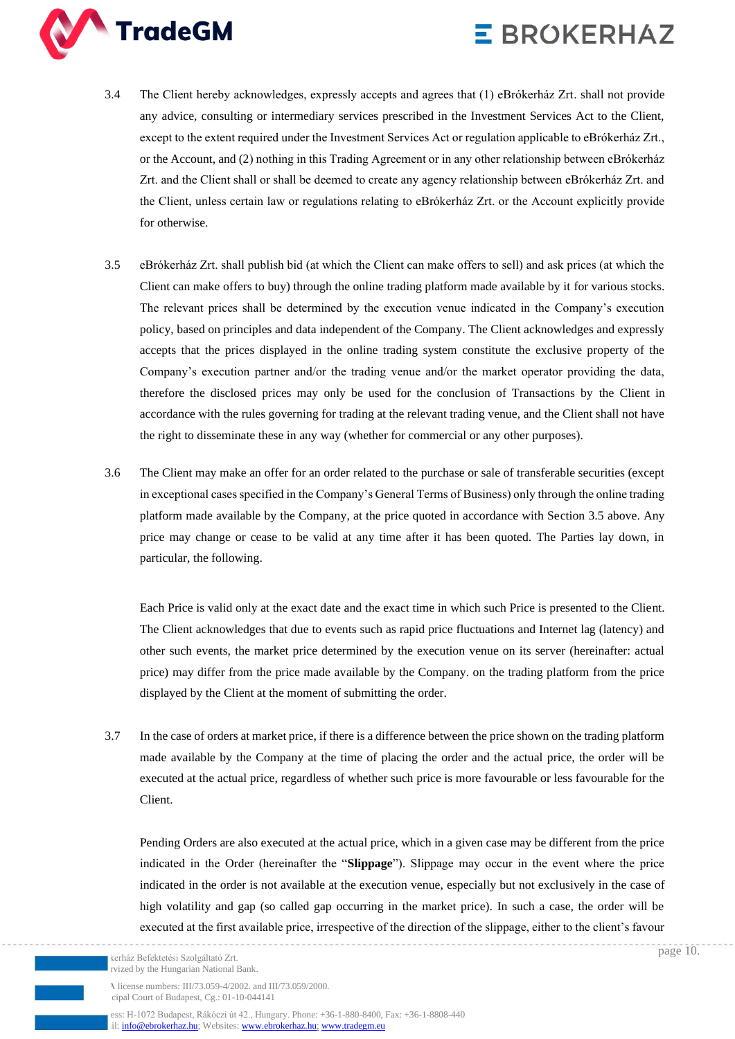

- 3.4 The Client hereby acknowledges, expressly accepts and agrees that (1) eBrókerház Zrt. shall not provide any advice, consulting or intermediary services prescribed in the Investment Services Act to the Client, except to the extent required under the Investment Services Act or regulation applicable to eBrókerház Zrt., or the Account, and (2) nothing in this Trading Agreement or in any other relationship between eBrókerház Zrt. and the Client shall or shall be deemed to create any agency relationship between eBrókerház Zrt. and the Client, unless certain law or regulations relating to eBrókerház Zrt. or the Account explicitly provide for otherwise.
- 3.5 eBrókerház Zrt. shall publish bid (at which the Client can make offers to sell) and ask prices (at which the Client can make offers to buy) through the online trading platform made available by it for various stocks. The relevant prices shall be determined by the execution venue indicated in the Company's execution policy, based on principles and data independent of the Company. The Client acknowledges and expressly accepts that the prices displayed in the online trading system constitute the exclusive property of the Company's execution partner and/or the trading venue and/or the market operator providing the data, therefore the disclosed prices may only be used for the conclusion of Transactions by the Client in accordance with the rules governing for trading at the relevant trading venue, and the Client shall not have the right to disseminate these in any way (whether for commercial or any other purposes).
- 3.6 The Client may make an offer for an order related to the purchase or sale of transferable securities (except in exceptional cases specified in the Company's General Terms of Business) only through the online trading platform made available by the Company, at the price quoted in accordance with Section 3.5 above. Any price may change or cease to be valid at any time after it has been quoted. The Parties lay down, in particular, the following.

Each Price is valid only at the exact date and the exact time in which such Price is presented to the Client. The Client acknowledges that due to events such as rapid price fluctuations and Internet lag (latency) and other such events, the market price determined by the execution venue on its server (hereinafter: actual price) may differ from the price made available by the Company. on the trading platform from the price displayed by the Client at the moment of submitting the order.

3.7 In the case of orders at market price, if there is a difference between the price shown on the trading platform made available by the Company at the time of placing the order and the actual price, the order will be executed at the actual price, regardless of whether such price is more favourable or less favourable for the Client.

Pending Orders are also executed at the actual price, which in a given case may be different from the price indicated in the Order (hereinafter the "**Slippage**"). Slippage may occur in the event where the price indicated in the order is not available at the execution venue, especially but not exclusively in the case of high volatility and gap (so called gap occurring in the market price). In such a case, the order will be executed at the first available price, irrespective of the direction of the slippage, either to the client's favour

kerház Befektetési Szolgáltató Zrt. rvized by the Hungarian National Bank.

A license numbers: III/73.059-4/2002. and III/73.059/2000. cipal Court of Budapest, Cg.: 01-10-044141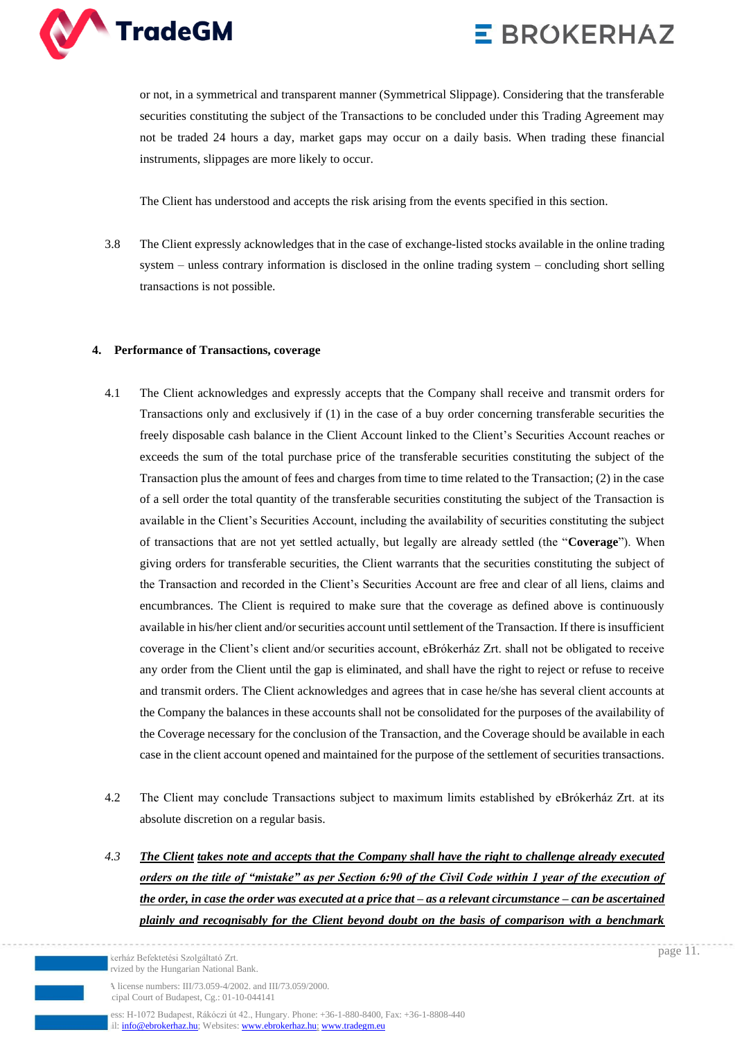

or not, in a symmetrical and transparent manner (Symmetrical Slippage). Considering that the transferable securities constituting the subject of the Transactions to be concluded under this Trading Agreement may not be traded 24 hours a day, market gaps may occur on a daily basis. When trading these financial instruments, slippages are more likely to occur.

The Client has understood and accepts the risk arising from the events specified in this section.

3.8 The Client expressly acknowledges that in the case of exchange-listed stocks available in the online trading system – unless contrary information is disclosed in the online trading system – concluding short selling transactions is not possible.

#### **4. Performance of Transactions, coverage**

- 4.1 The Client acknowledges and expressly accepts that the Company shall receive and transmit orders for Transactions only and exclusively if (1) in the case of a buy order concerning transferable securities the freely disposable cash balance in the Client Account linked to the Client's Securities Account reaches or exceeds the sum of the total purchase price of the transferable securities constituting the subject of the Transaction plus the amount of fees and charges from time to time related to the Transaction; (2) in the case of a sell order the total quantity of the transferable securities constituting the subject of the Transaction is available in the Client's Securities Account, including the availability of securities constituting the subject of transactions that are not yet settled actually, but legally are already settled (the "**Coverage**"). When giving orders for transferable securities, the Client warrants that the securities constituting the subject of the Transaction and recorded in the Client's Securities Account are free and clear of all liens, claims and encumbrances. The Client is required to make sure that the coverage as defined above is continuously available in his/her client and/or securities account until settlement of the Transaction. If there is insufficient coverage in the Client's client and/or securities account, eBrókerház Zrt. shall not be obligated to receive any order from the Client until the gap is eliminated, and shall have the right to reject or refuse to receive and transmit orders. The Client acknowledges and agrees that in case he/she has several client accounts at the Company the balances in these accounts shall not be consolidated for the purposes of the availability of the Coverage necessary for the conclusion of the Transaction, and the Coverage should be available in each case in the client account opened and maintained for the purpose of the settlement of securities transactions.
- 4.2 The Client may conclude Transactions subject to maximum limits established by eBrókerház Zrt. at its absolute discretion on a regular basis.
- *4.3 The Client takes note and accepts that the Company shall have the right to challenge already executed orders on the title of "mistake" as per Section 6:90 of the Civil Code within 1 year of the execution of the order, in case the order was executed at a price that – as a relevant circumstance – can be ascertained plainly and recognisably for the Client beyond doubt on the basis of comparison with a benchmark*

kerház Befektetési Szolgáltató Zrt. rvized by the Hungarian National Bank

A license numbers: III/73.059-4/2002. and III/73.059/2000. cipal Court of Budapest, Cg.: 01-10-044141

ess: H-1072 Budapest, Rákóczi út 42., Hungary. Phone: +36-1-880-8400, Fax: +36-1-8808-440 il[: info@ebrokerhaz.hu;](mailto:info@ebrokerhaz.hu) Websites: [www.ebrokerhaz.hu;](http://www.ebrokerhaz.hu/) [www.tradegm.eu](http://www.tradegm.eu/)

page 11.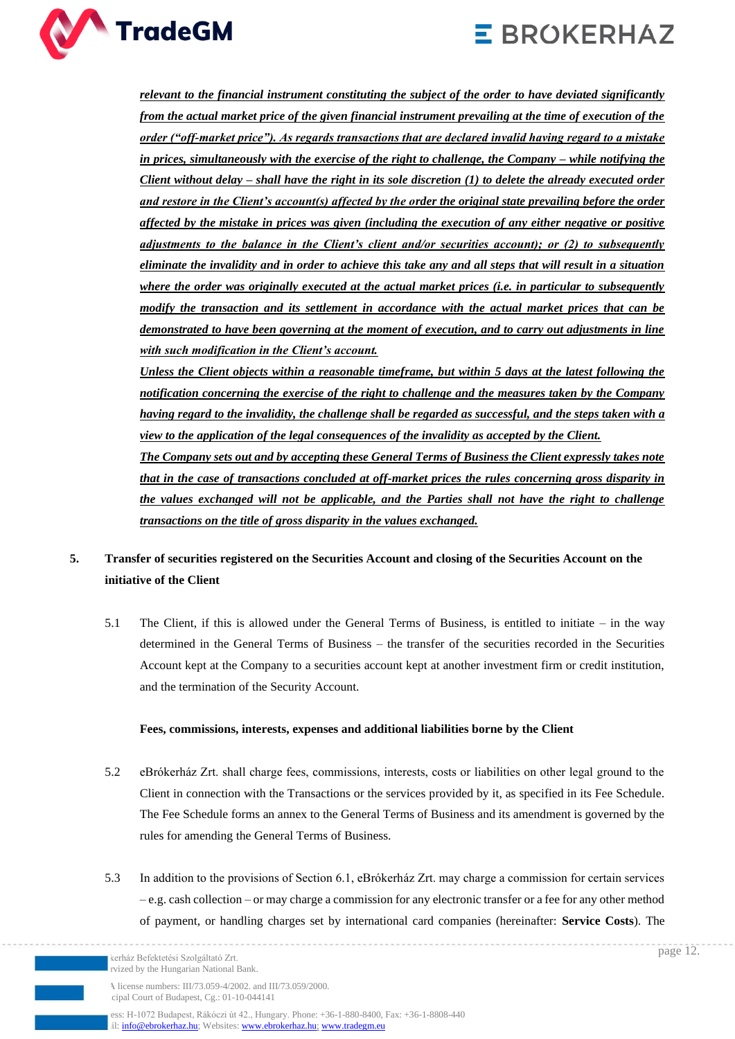



*relevant to the financial instrument constituting the subject of the order to have deviated significantly from the actual market price of the given financial instrument prevailing at the time of execution of the order ("off-market price"). As regards transactions that are declared invalid having regard to a mistake in prices, simultaneously with the exercise of the right to challenge, the Company – while notifying the Client without delay – shall have the right in its sole discretion (1) to delete the already executed order and restore in the Client's account(s) affected by the order the original state prevailing before the order affected by the mistake in prices was given (including the execution of any either negative or positive adjustments to the balance in the Client's client and/or securities account); or (2) to subsequently eliminate the invalidity and in order to achieve this take any and all steps that will result in a situation where the order was originally executed at the actual market prices (i.e. in particular to subsequently modify the transaction and its settlement in accordance with the actual market prices that can be demonstrated to have been governing at the moment of execution, and to carry out adjustments in line with such modification in the Client's account.*

*Unless the Client objects within a reasonable timeframe, but within 5 days at the latest following the notification concerning the exercise of the right to challenge and the measures taken by the Company having regard to the invalidity, the challenge shall be regarded as successful, and the steps taken with a view to the application of the legal consequences of the invalidity as accepted by the Client.* 

*The Company sets out and by accepting these General Terms of Business the Client expressly takes note that in the case of transactions concluded at off-market prices the rules concerning gross disparity in the values exchanged will not be applicable, and the Parties shall not have the right to challenge transactions on the title of gross disparity in the values exchanged.*

### **5. Transfer of securities registered on the Securities Account and closing of the Securities Account on the initiative of the Client**

5.1 The Client, if this is allowed under the General Terms of Business, is entitled to initiate – in the way determined in the General Terms of Business – the transfer of the securities recorded in the Securities Account kept at the Company to a securities account kept at another investment firm or credit institution, and the termination of the Security Account.

### **Fees, commissions, interests, expenses and additional liabilities borne by the Client**

- 5.2 eBrókerház Zrt. shall charge fees, commissions, interests, costs or liabilities on other legal ground to the Client in connection with the Transactions or the services provided by it, as specified in its Fee Schedule. The Fee Schedule forms an annex to the General Terms of Business and its amendment is governed by the rules for amending the General Terms of Business.
- 5.3 In addition to the provisions of Section 6.1, eBrókerház Zrt. may charge a commission for certain services – e.g. cash collection – or may charge a commission for any electronic transfer or a fee for any other method of payment, or handling charges set by international card companies (hereinafter: **Service Costs**). The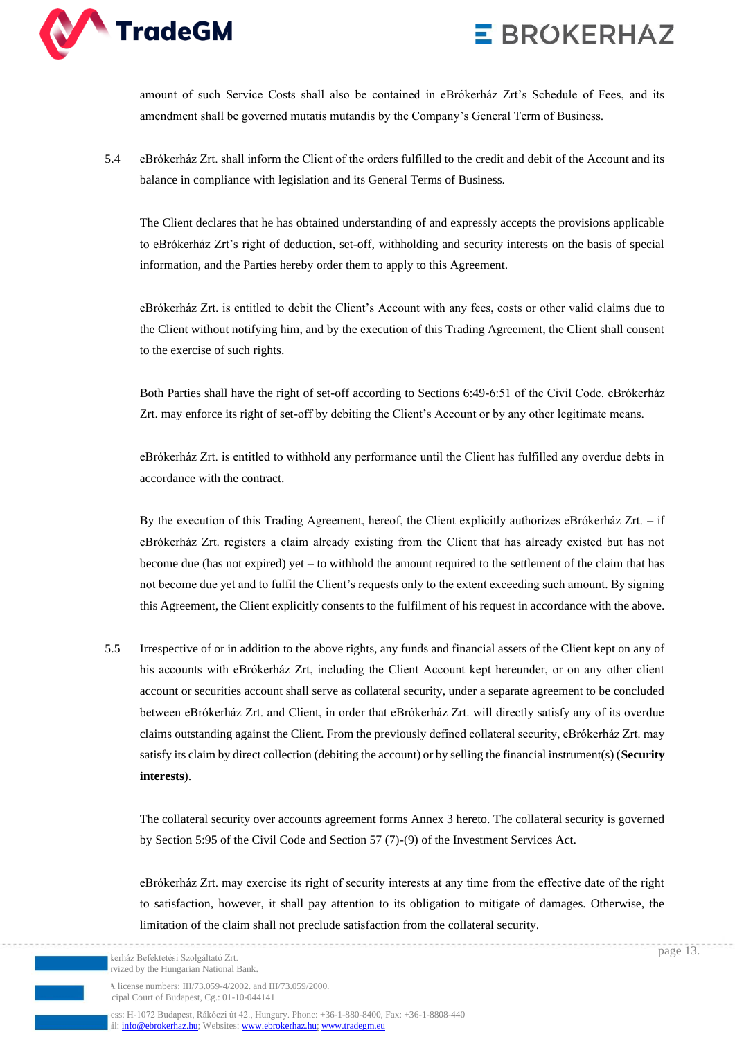

amount of such Service Costs shall also be contained in eBrókerház Zrt's Schedule of Fees, and its amendment shall be governed mutatis mutandis by the Company's General Term of Business.

5.4 eBrókerház Zrt. shall inform the Client of the orders fulfilled to the credit and debit of the Account and its balance in compliance with legislation and its General Terms of Business.

The Client declares that he has obtained understanding of and expressly accepts the provisions applicable to eBrókerház Zrt's right of deduction, set-off, withholding and security interests on the basis of special information, and the Parties hereby order them to apply to this Agreement.

eBrókerház Zrt. is entitled to debit the Client's Account with any fees, costs or other valid claims due to the Client without notifying him, and by the execution of this Trading Agreement, the Client shall consent to the exercise of such rights.

Both Parties shall have the right of set-off according to Sections 6:49-6:51 of the Civil Code. eBrókerház Zrt. may enforce its right of set-off by debiting the Client's Account or by any other legitimate means.

eBrókerház Zrt. is entitled to withhold any performance until the Client has fulfilled any overdue debts in accordance with the contract.

By the execution of this Trading Agreement, hereof, the Client explicitly authorizes eBrókerház Zrt. – if eBrókerház Zrt. registers a claim already existing from the Client that has already existed but has not become due (has not expired) yet – to withhold the amount required to the settlement of the claim that has not become due yet and to fulfil the Client's requests only to the extent exceeding such amount. By signing this Agreement, the Client explicitly consents to the fulfilment of his request in accordance with the above.

5.5 Irrespective of or in addition to the above rights, any funds and financial assets of the Client kept on any of his accounts with eBrókerház Zrt, including the Client Account kept hereunder, or on any other client account or securities account shall serve as collateral security, under a separate agreement to be concluded between eBrókerház Zrt. and Client, in order that eBrókerház Zrt. will directly satisfy any of its overdue claims outstanding against the Client. From the previously defined collateral security, eBrókerház Zrt. may satisfy its claim by direct collection (debiting the account) or by selling the financial instrument(s) (**Security interests**).

The collateral security over accounts agreement forms Annex 3 hereto. The collateral security is governed by Section 5:95 of the Civil Code and Section 57 (7)-(9) of the Investment Services Act.

eBrókerház Zrt. may exercise its right of security interests at any time from the effective date of the right to satisfaction, however, it shall pay attention to its obligation to mitigate of damages. Otherwise, the limitation of the claim shall not preclude satisfaction from the collateral security.

kerház Befektetési Szolgáltató Zrt. rvized by the Hungarian National Bank

A license numbers: III/73.059-4/2002. and III/73.059/2000. cipal Court of Budapest, Cg.: 01-10-044141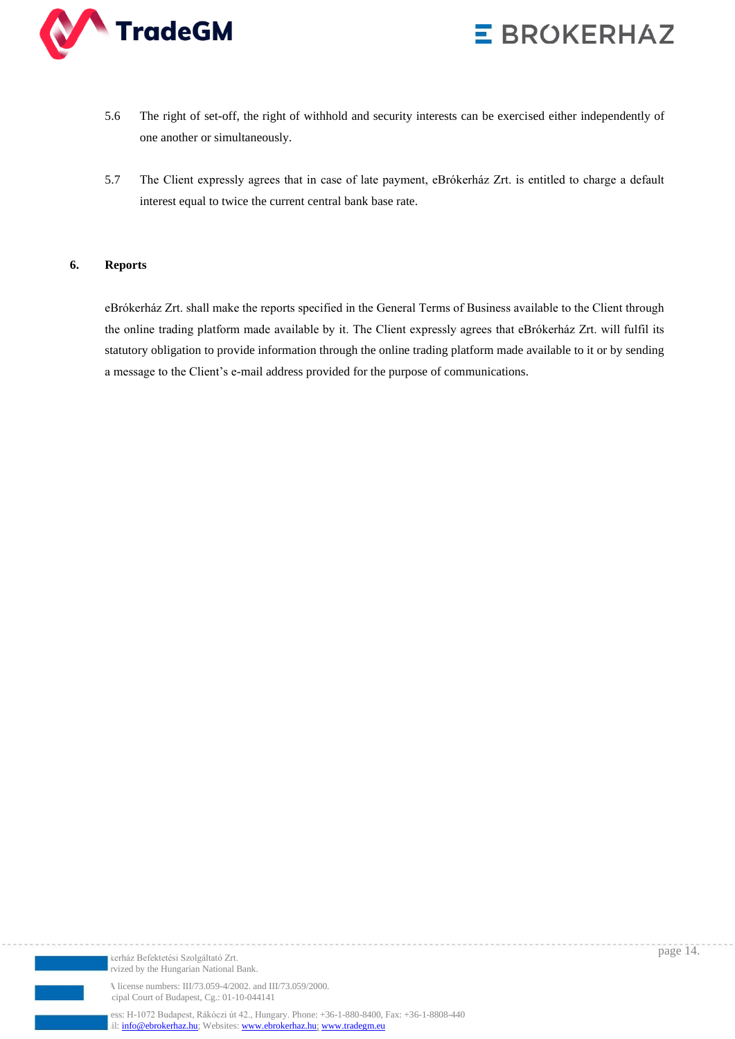



- 5.6 The right of set-off, the right of withhold and security interests can be exercised either independently of one another or simultaneously.
- 5.7 The Client expressly agrees that in case of late payment, eBrókerház Zrt. is entitled to charge a default interest equal to twice the current central bank base rate.

#### **6. Reports**

eBrókerház Zrt. shall make the reports specified in the General Terms of Business available to the Client through the online trading platform made available by it. The Client expressly agrees that eBrókerház Zrt. will fulfil its statutory obligation to provide information through the online trading platform made available to it or by sending a message to the Client's e-mail address provided for the purpose of communications.



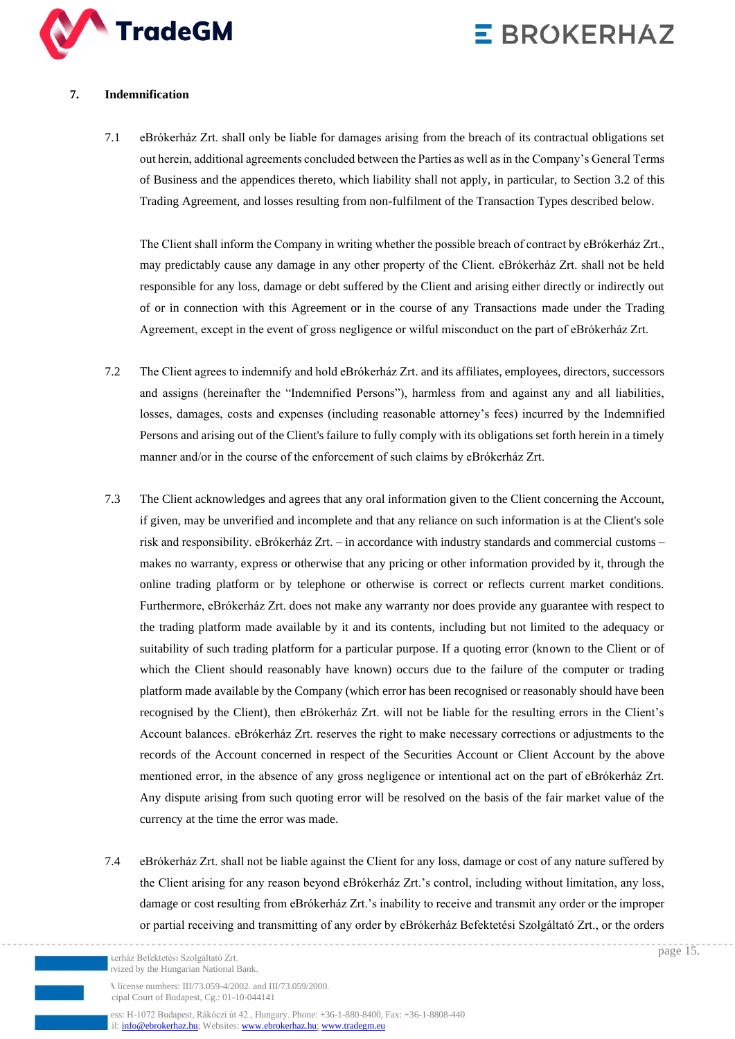

### **7. Indemnification**

7.1 eBrókerház Zrt. shall only be liable for damages arising from the breach of its contractual obligations set out herein, additional agreements concluded between the Parties as well as in the Company's General Terms of Business and the appendices thereto, which liability shall not apply, in particular, to Section 3.2 of this Trading Agreement, and losses resulting from non-fulfilment of the Transaction Types described below.

The Client shall inform the Company in writing whether the possible breach of contract by eBrókerház Zrt., may predictably cause any damage in any other property of the Client. eBrókerház Zrt. shall not be held responsible for any loss, damage or debt suffered by the Client and arising either directly or indirectly out of or in connection with this Agreement or in the course of any Transactions made under the Trading Agreement, except in the event of gross negligence or wilful misconduct on the part of eBrókerház Zrt.

- 7.2 The Client agrees to indemnify and hold eBrókerház Zrt. and its affiliates, employees, directors, successors and assigns (hereinafter the "Indemnified Persons"), harmless from and against any and all liabilities, losses, damages, costs and expenses (including reasonable attorney's fees) incurred by the Indemnified Persons and arising out of the Client's failure to fully comply with its obligations set forth herein in a timely manner and/or in the course of the enforcement of such claims by eBrókerház Zrt.
- 7.3 The Client acknowledges and agrees that any oral information given to the Client concerning the Account, if given, may be unverified and incomplete and that any reliance on such information is at the Client's sole risk and responsibility. eBrókerház Zrt. – in accordance with industry standards and commercial customs – makes no warranty, express or otherwise that any pricing or other information provided by it, through the online trading platform or by telephone or otherwise is correct or reflects current market conditions. Furthermore, eBrókerház Zrt. does not make any warranty nor does provide any guarantee with respect to the trading platform made available by it and its contents, including but not limited to the adequacy or suitability of such trading platform for a particular purpose. If a quoting error (known to the Client or of which the Client should reasonably have known) occurs due to the failure of the computer or trading platform made available by the Company (which error has been recognised or reasonably should have been recognised by the Client), then eBrókerház Zrt. will not be liable for the resulting errors in the Client's Account balances. eBrókerház Zrt. reserves the right to make necessary corrections or adjustments to the records of the Account concerned in respect of the Securities Account or Client Account by the above mentioned error, in the absence of any gross negligence or intentional act on the part of eBrókerház Zrt. Any dispute arising from such quoting error will be resolved on the basis of the fair market value of the currency at the time the error was made.
- 7.4 eBrókerház Zrt. shall not be liable against the Client for any loss, damage or cost of any nature suffered by the Client arising for any reason beyond eBrókerház Zrt.'s control, including without limitation, any loss, damage or cost resulting from eBrókerház Zrt.'s inability to receive and transmit any order or the improper or partial receiving and transmitting of any order by eBrókerház Befektetési Szolgáltató Zrt., or the orders

cipal Court of Budapest, Cg.: 01-10-044141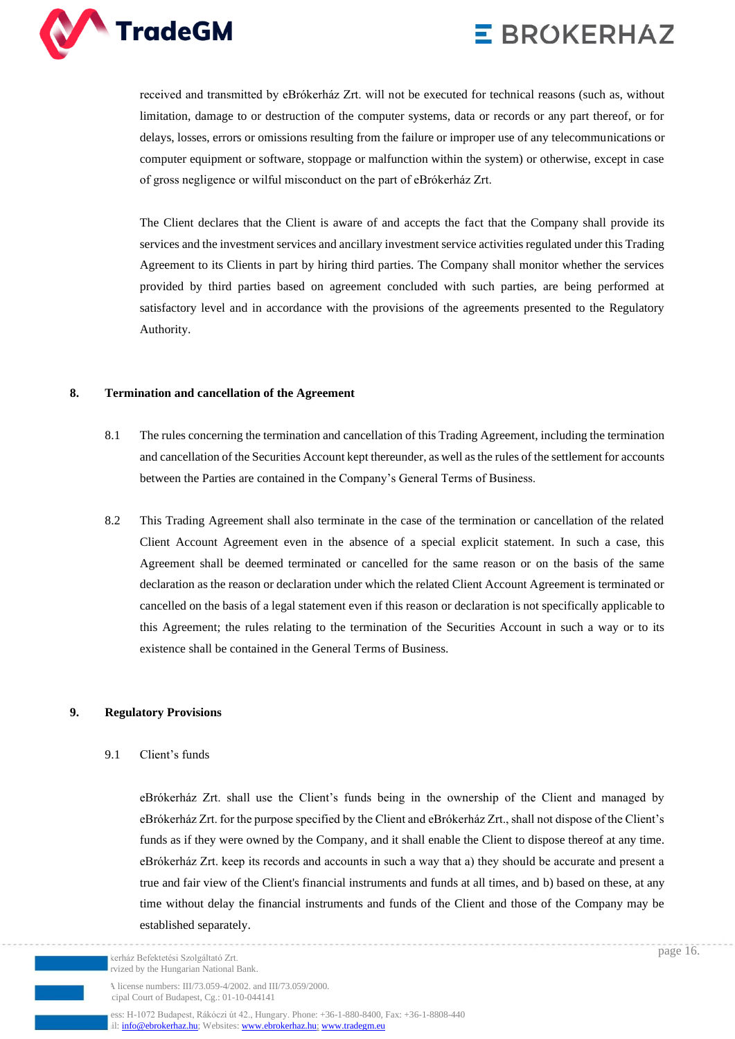

received and transmitted by eBrókerház Zrt. will not be executed for technical reasons (such as, without limitation, damage to or destruction of the computer systems, data or records or any part thereof, or for delays, losses, errors or omissions resulting from the failure or improper use of any telecommunications or computer equipment or software, stoppage or malfunction within the system) or otherwise, except in case of gross negligence or wilful misconduct on the part of eBrókerház Zrt.

The Client declares that the Client is aware of and accepts the fact that the Company shall provide its services and the investment services and ancillary investment service activities regulated under this Trading Agreement to its Clients in part by hiring third parties. The Company shall monitor whether the services provided by third parties based on agreement concluded with such parties, are being performed at satisfactory level and in accordance with the provisions of the agreements presented to the Regulatory Authority.

### **8. Termination and cancellation of the Agreement**

- 8.1 The rules concerning the termination and cancellation of this Trading Agreement, including the termination and cancellation of the Securities Account kept thereunder, as well as the rules of the settlement for accounts between the Parties are contained in the Company's General Terms of Business.
- 8.2 This Trading Agreement shall also terminate in the case of the termination or cancellation of the related Client Account Agreement even in the absence of a special explicit statement. In such a case, this Agreement shall be deemed terminated or cancelled for the same reason or on the basis of the same declaration as the reason or declaration under which the related Client Account Agreement is terminated or cancelled on the basis of a legal statement even if this reason or declaration is not specifically applicable to this Agreement; the rules relating to the termination of the Securities Account in such a way or to its existence shall be contained in the General Terms of Business.

### **9. Regulatory Provisions**

#### 9.1 Client's funds

eBrókerház Zrt. shall use the Client's funds being in the ownership of the Client and managed by eBrókerház Zrt. for the purpose specified by the Client and eBrókerház Zrt., shall not dispose of the Client's funds as if they were owned by the Company, and it shall enable the Client to dispose thereof at any time. eBrókerház Zrt. keep its records and accounts in such a way that a) they should be accurate and present a true and fair view of the Client's financial instruments and funds at all times, and b) based on these, at any time without delay the financial instruments and funds of the Client and those of the Company may be established separately.

A license numbers: III/73.059-4/2002. and III/73.059/2000. cipal Court of Budapest, Cg.: 01-10-044141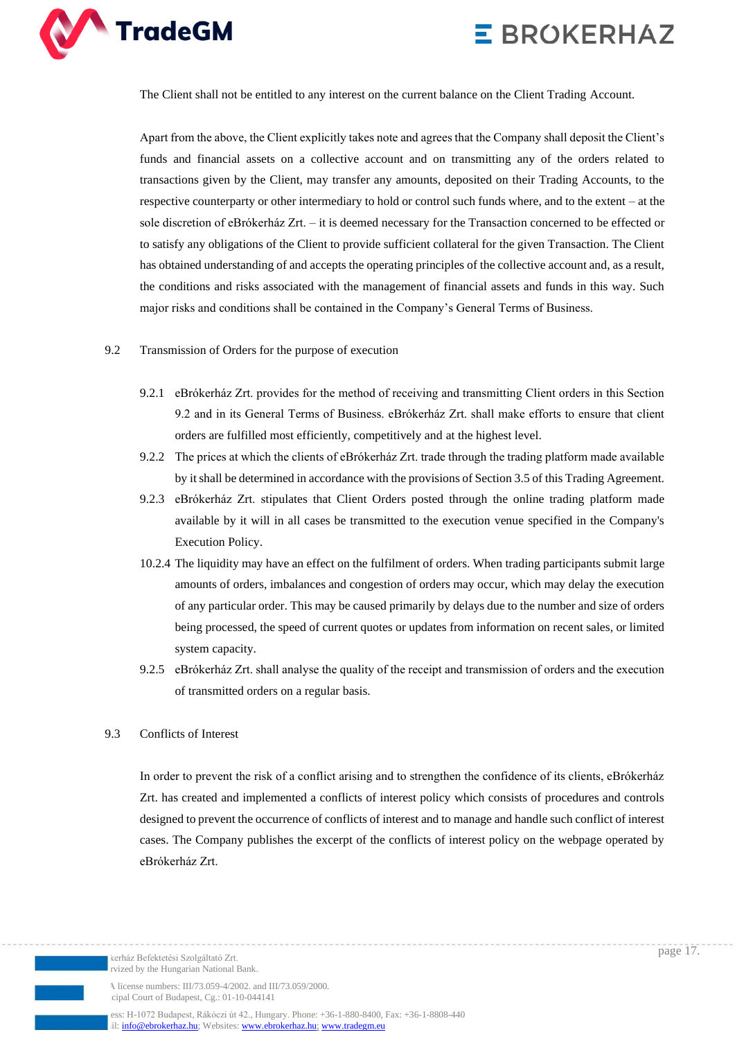



The Client shall not be entitled to any interest on the current balance on the Client Trading Account.

Apart from the above, the Client explicitly takes note and agrees that the Company shall deposit the Client's funds and financial assets on a collective account and on transmitting any of the orders related to transactions given by the Client, may transfer any amounts, deposited on their Trading Accounts, to the respective counterparty or other intermediary to hold or control such funds where, and to the extent – at the sole discretion of eBrókerház Zrt. – it is deemed necessary for the Transaction concerned to be effected or to satisfy any obligations of the Client to provide sufficient collateral for the given Transaction. The Client has obtained understanding of and accepts the operating principles of the collective account and, as a result, the conditions and risks associated with the management of financial assets and funds in this way. Such major risks and conditions shall be contained in the Company's General Terms of Business.

#### 9.2 Transmission of Orders for the purpose of execution

- 9.2.1 eBrókerház Zrt. provides for the method of receiving and transmitting Client orders in this Section 9.2 and in its General Terms of Business. eBrókerház Zrt. shall make efforts to ensure that client orders are fulfilled most efficiently, competitively and at the highest level.
- 9.2.2 The prices at which the clients of eBrókerház Zrt. trade through the trading platform made available by it shall be determined in accordance with the provisions of Section 3.5 of this Trading Agreement.
- 9.2.3 eBrókerház Zrt. stipulates that Client Orders posted through the online trading platform made available by it will in all cases be transmitted to the execution venue specified in the Company's Execution Policy.
- 10.2.4 The liquidity may have an effect on the fulfilment of orders. When trading participants submit large amounts of orders, imbalances and congestion of orders may occur, which may delay the execution of any particular order. This may be caused primarily by delays due to the number and size of orders being processed, the speed of current quotes or updates from information on recent sales, or limited system capacity.
- 9.2.5 eBrókerház Zrt. shall analyse the quality of the receipt and transmission of orders and the execution of transmitted orders on a regular basis.

#### 9.3 Conflicts of Interest

In order to prevent the risk of a conflict arising and to strengthen the confidence of its clients, eBrókerház Zrt. has created and implemented a conflicts of interest policy which consists of procedures and controls designed to prevent the occurrence of conflicts of interest and to manage and handle such conflict of interest cases. The Company publishes the excerpt of the conflicts of interest policy on the webpage operated by eBrókerház Zrt.

page 17.

A license numbers: III/73.059-4/2002. and III/73.059/2000. cipal Court of Budapest, Cg.: 01-10-044141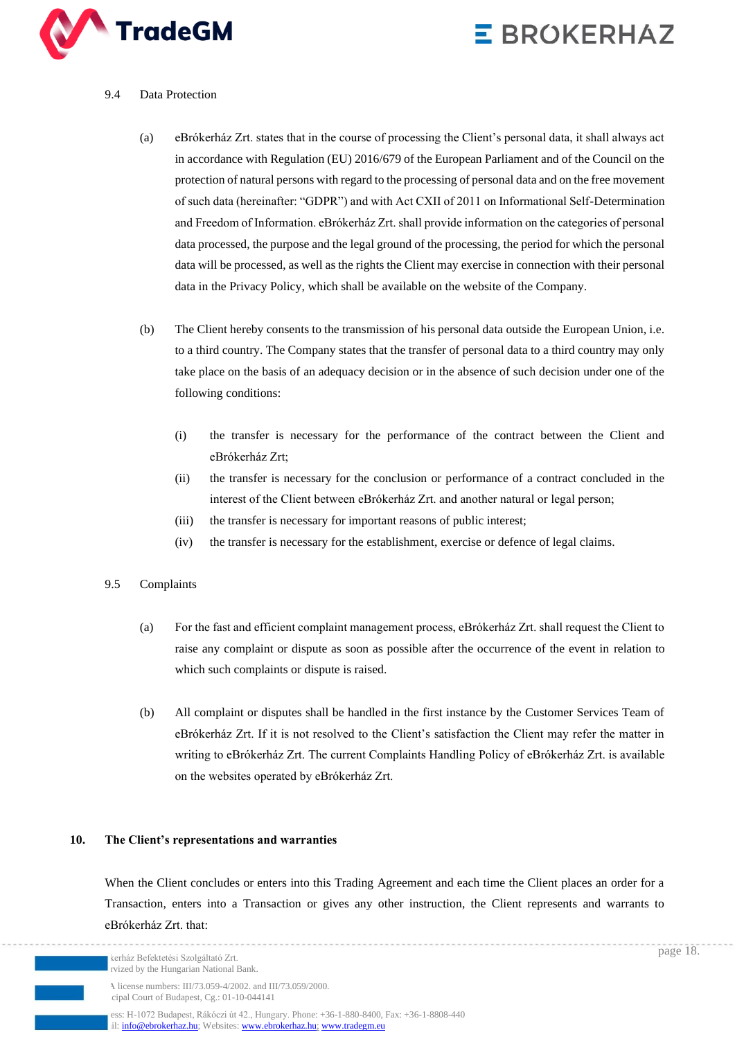

### 9.4 Data Protection

- (a) eBrókerház Zrt. states that in the course of processing the Client's personal data, it shall always act in accordance with Regulation (EU) 2016/679 of the European Parliament and of the Council on the protection of natural persons with regard to the processing of personal data and on the free movement of such data (hereinafter: "GDPR") and with Act CXII of 2011 on Informational Self-Determination and Freedom of Information. eBrókerház Zrt. shall provide information on the categories of personal data processed, the purpose and the legal ground of the processing, the period for which the personal data will be processed, as well as the rights the Client may exercise in connection with their personal data in the Privacy Policy, which shall be available on the website of the Company.
- (b) The Client hereby consents to the transmission of his personal data outside the European Union, i.e. to a third country. The Company states that the transfer of personal data to a third country may only take place on the basis of an adequacy decision or in the absence of such decision under one of the following conditions:
	- (i) the transfer is necessary for the performance of the contract between the Client and eBrókerház Zrt;
	- (ii) the transfer is necessary for the conclusion or performance of a contract concluded in the interest of the Client between eBrókerház Zrt. and another natural or legal person;
	- (iii) the transfer is necessary for important reasons of public interest;
	- (iv) the transfer is necessary for the establishment, exercise or defence of legal claims.

#### 9.5 Complaints

- (a) For the fast and efficient complaint management process, eBrókerház Zrt. shall request the Client to raise any complaint or dispute as soon as possible after the occurrence of the event in relation to which such complaints or dispute is raised.
- (b) All complaint or disputes shall be handled in the first instance by the Customer Services Team of eBrókerház Zrt. If it is not resolved to the Client's satisfaction the Client may refer the matter in writing to eBrókerház Zrt. The current Complaints Handling Policy of eBrókerház Zrt. is available on the websites operated by eBrókerház Zrt.

### **10. The Client's representations and warranties**

When the Client concludes or enters into this Trading Agreement and each time the Client places an order for a Transaction, enters into a Transaction or gives any other instruction, the Client represents and warrants to eBrókerház Zrt. that: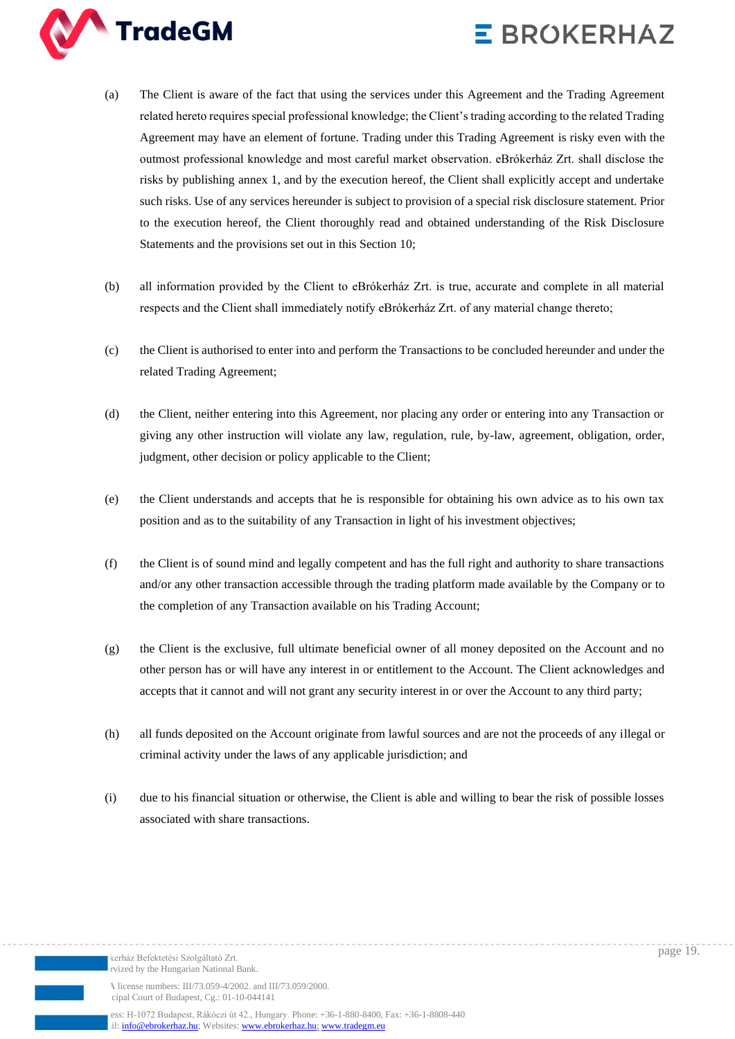



- (a) The Client is aware of the fact that using the services under this Agreement and the Trading Agreement related hereto requires special professional knowledge; the Client's trading according to the related Trading Agreement may have an element of fortune. Trading under this Trading Agreement is risky even with the outmost professional knowledge and most careful market observation. eBrókerház Zrt. shall disclose the risks by publishing annex 1, and by the execution hereof, the Client shall explicitly accept and undertake such risks. Use of any services hereunder is subject to provision of a special risk disclosure statement. Prior to the execution hereof, the Client thoroughly read and obtained understanding of the Risk Disclosure Statements and the provisions set out in this Section 10;
- (b) all information provided by the Client to eBrókerház Zrt. is true, accurate and complete in all material respects and the Client shall immediately notify eBrókerház Zrt. of any material change thereto;
- (c) the Client is authorised to enter into and perform the Transactions to be concluded hereunder and under the related Trading Agreement;
- (d) the Client, neither entering into this Agreement, nor placing any order or entering into any Transaction or giving any other instruction will violate any law, regulation, rule, by-law, agreement, obligation, order, judgment, other decision or policy applicable to the Client;
- (e) the Client understands and accepts that he is responsible for obtaining his own advice as to his own tax position and as to the suitability of any Transaction in light of his investment objectives;
- (f) the Client is of sound mind and legally competent and has the full right and authority to share transactions and/or any other transaction accessible through the trading platform made available by the Company or to the completion of any Transaction available on his Trading Account;
- (g) the Client is the exclusive, full ultimate beneficial owner of all money deposited on the Account and no other person has or will have any interest in or entitlement to the Account. The Client acknowledges and accepts that it cannot and will not grant any security interest in or over the Account to any third party;
- (h) all funds deposited on the Account originate from lawful sources and are not the proceeds of any illegal or criminal activity under the laws of any applicable jurisdiction; and
- (i) due to his financial situation or otherwise, the Client is able and willing to bear the risk of possible losses associated with share transactions.

page 19.

A license numbers: III/73.059-4/2002. and III/73.059/2000. cipal Court of Budapest, Cg.: 01-10-044141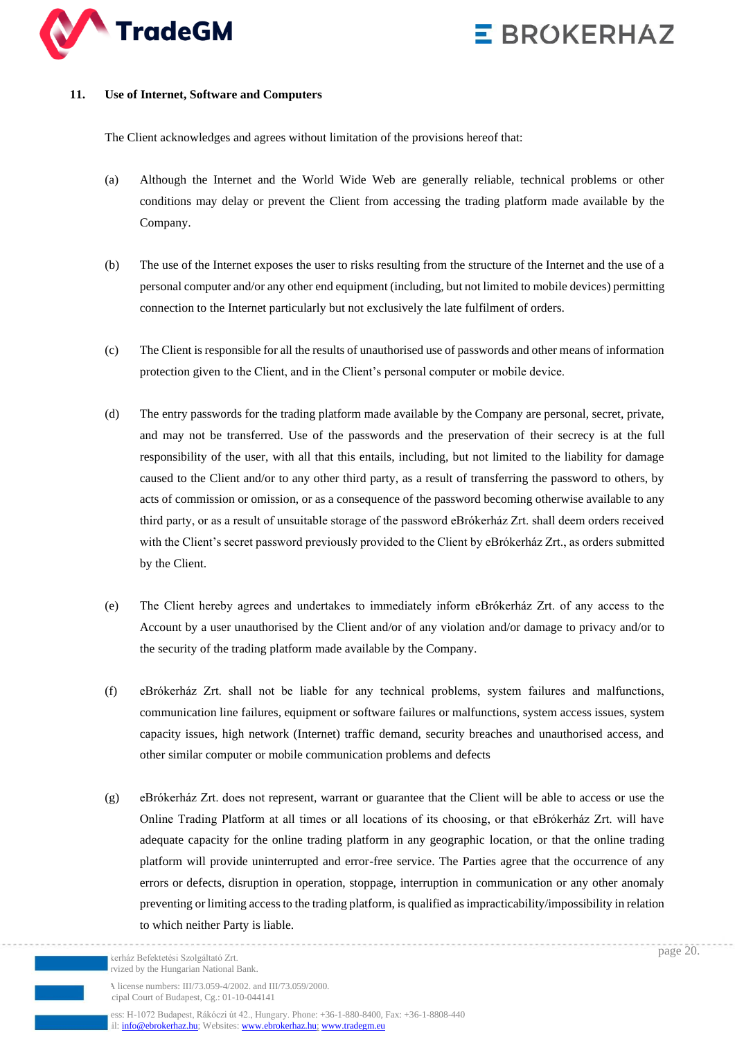



#### **11. Use of Internet, Software and Computers**

The Client acknowledges and agrees without limitation of the provisions hereof that:

- (a) Although the Internet and the World Wide Web are generally reliable, technical problems or other conditions may delay or prevent the Client from accessing the trading platform made available by the Company.
- (b) The use of the Internet exposes the user to risks resulting from the structure of the Internet and the use of a personal computer and/or any other end equipment (including, but not limited to mobile devices) permitting connection to the Internet particularly but not exclusively the late fulfilment of orders.
- (c) The Client is responsible for all the results of unauthorised use of passwords and other means of information protection given to the Client, and in the Client's personal computer or mobile device.
- (d) The entry passwords for the trading platform made available by the Company are personal, secret, private, and may not be transferred. Use of the passwords and the preservation of their secrecy is at the full responsibility of the user, with all that this entails, including, but not limited to the liability for damage caused to the Client and/or to any other third party, as a result of transferring the password to others, by acts of commission or omission, or as a consequence of the password becoming otherwise available to any third party, or as a result of unsuitable storage of the password eBrókerház Zrt. shall deem orders received with the Client's secret password previously provided to the Client by eBrókerház Zrt., as orders submitted by the Client.
- (e) The Client hereby agrees and undertakes to immediately inform eBrókerház Zrt. of any access to the Account by a user unauthorised by the Client and/or of any violation and/or damage to privacy and/or to the security of the trading platform made available by the Company.
- (f) eBrókerház Zrt. shall not be liable for any technical problems, system failures and malfunctions, communication line failures, equipment or software failures or malfunctions, system access issues, system capacity issues, high network (Internet) traffic demand, security breaches and unauthorised access, and other similar computer or mobile communication problems and defects
- (g) eBrókerház Zrt. does not represent, warrant or guarantee that the Client will be able to access or use the Online Trading Platform at all times or all locations of its choosing, or that eBrókerház Zrt. will have adequate capacity for the online trading platform in any geographic location, or that the online trading platform will provide uninterrupted and error-free service. The Parties agree that the occurrence of any errors or defects, disruption in operation, stoppage, interruption in communication or any other anomaly preventing or limiting access to the trading platform, is qualified as impracticability/impossibility in relation to which neither Party is liable.

ess: H-1072 Budapest, Rákóczi út 42., Hungary. Phone: +36-1-880-8400, Fax: +36-1-8808-440 il[: info@ebrokerhaz.hu;](mailto:info@ebrokerhaz.hu) Websites: [www.ebrokerhaz.hu;](http://www.ebrokerhaz.hu/) [www.tradegm.eu](http://www.tradegm.eu/)

page 20.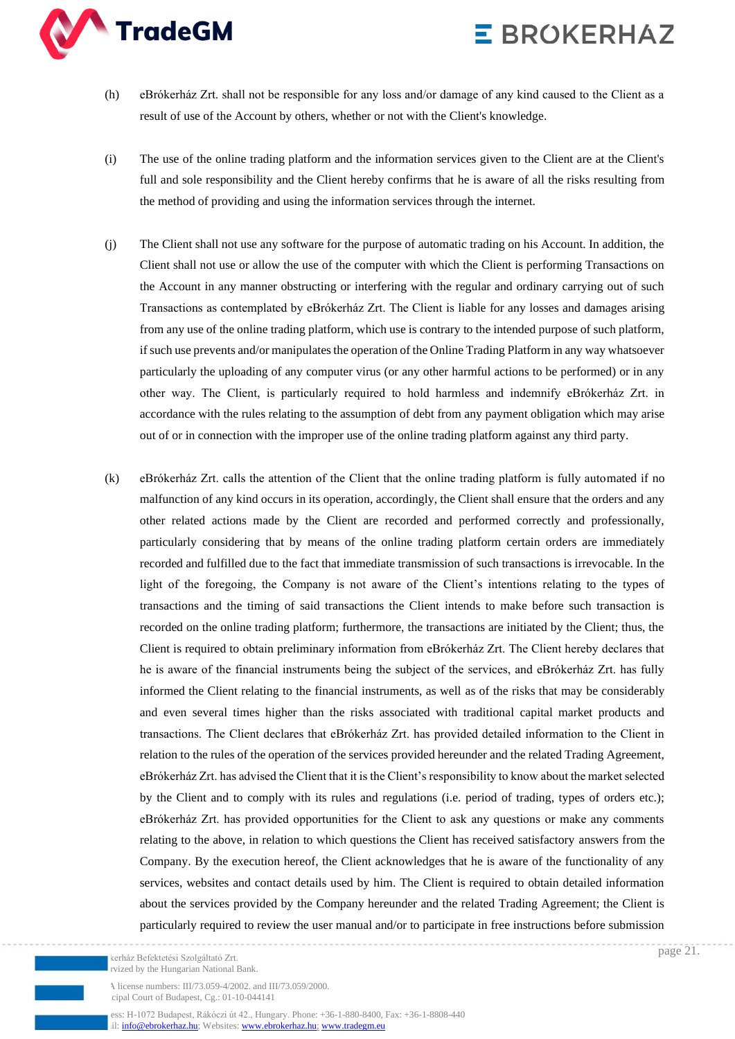

- (h) eBrókerház Zrt. shall not be responsible for any loss and/or damage of any kind caused to the Client as a result of use of the Account by others, whether or not with the Client's knowledge.
- (i) The use of the online trading platform and the information services given to the Client are at the Client's full and sole responsibility and the Client hereby confirms that he is aware of all the risks resulting from the method of providing and using the information services through the internet.
- (j) The Client shall not use any software for the purpose of automatic trading on his Account. In addition, the Client shall not use or allow the use of the computer with which the Client is performing Transactions on the Account in any manner obstructing or interfering with the regular and ordinary carrying out of such Transactions as contemplated by eBrókerház Zrt. The Client is liable for any losses and damages arising from any use of the online trading platform, which use is contrary to the intended purpose of such platform, if such use prevents and/or manipulates the operation of the Online Trading Platform in any way whatsoever particularly the uploading of any computer virus (or any other harmful actions to be performed) or in any other way. The Client, is particularly required to hold harmless and indemnify eBrókerház Zrt. in accordance with the rules relating to the assumption of debt from any payment obligation which may arise out of or in connection with the improper use of the online trading platform against any third party.
- (k) eBrókerház Zrt. calls the attention of the Client that the online trading platform is fully automated if no malfunction of any kind occurs in its operation, accordingly, the Client shall ensure that the orders and any other related actions made by the Client are recorded and performed correctly and professionally, particularly considering that by means of the online trading platform certain orders are immediately recorded and fulfilled due to the fact that immediate transmission of such transactions is irrevocable. In the light of the foregoing, the Company is not aware of the Client's intentions relating to the types of transactions and the timing of said transactions the Client intends to make before such transaction is recorded on the online trading platform; furthermore, the transactions are initiated by the Client; thus, the Client is required to obtain preliminary information from eBrókerház Zrt. The Client hereby declares that he is aware of the financial instruments being the subject of the services, and eBrókerház Zrt. has fully informed the Client relating to the financial instruments, as well as of the risks that may be considerably and even several times higher than the risks associated with traditional capital market products and transactions. The Client declares that eBrókerház Zrt. has provided detailed information to the Client in relation to the rules of the operation of the services provided hereunder and the related Trading Agreement, eBrókerház Zrt. has advised the Client that it is the Client's responsibility to know about the market selected by the Client and to comply with its rules and regulations (i.e. period of trading, types of orders etc.); eBrókerház Zrt. has provided opportunities for the Client to ask any questions or make any comments relating to the above, in relation to which questions the Client has received satisfactory answers from the Company. By the execution hereof, the Client acknowledges that he is aware of the functionality of any services, websites and contact details used by him. The Client is required to obtain detailed information about the services provided by the Company hereunder and the related Trading Agreement; the Client is particularly required to review the user manual and/or to participate in free instructions before submission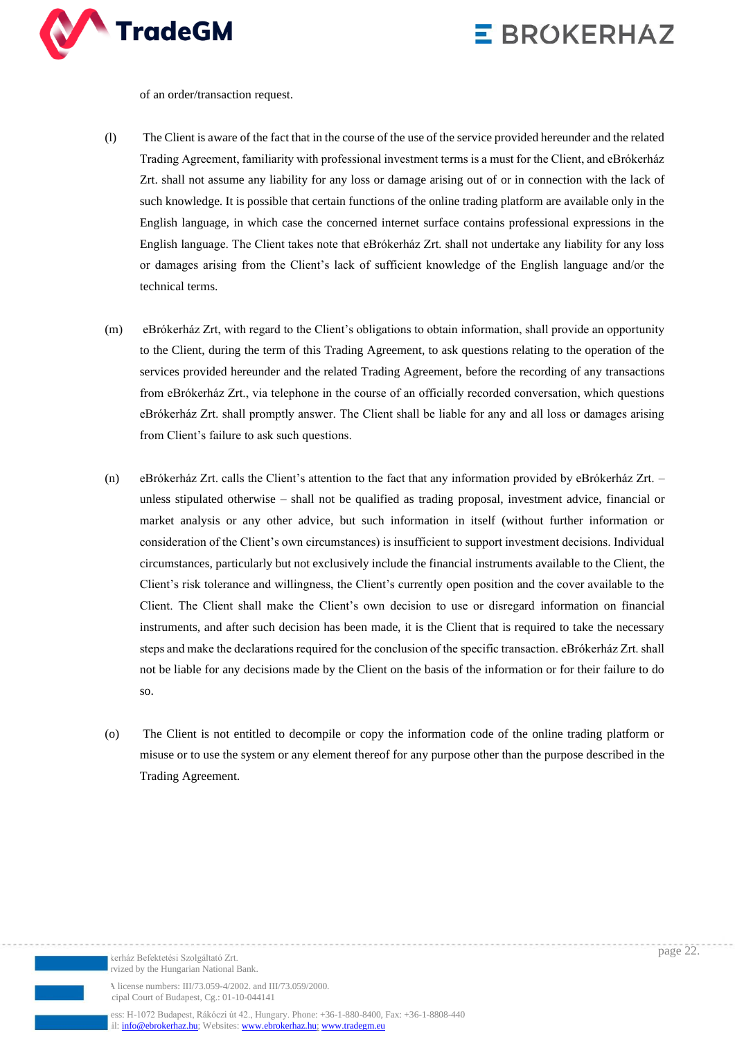

of an order/transaction request.

- (l) The Client is aware of the fact that in the course of the use of the service provided hereunder and the related Trading Agreement, familiarity with professional investment terms is a must for the Client, and eBrókerház Zrt. shall not assume any liability for any loss or damage arising out of or in connection with the lack of such knowledge. It is possible that certain functions of the online trading platform are available only in the English language, in which case the concerned internet surface contains professional expressions in the English language. The Client takes note that eBrókerház Zrt. shall not undertake any liability for any loss or damages arising from the Client's lack of sufficient knowledge of the English language and/or the technical terms.
- (m) eBrókerház Zrt, with regard to the Client's obligations to obtain information, shall provide an opportunity to the Client, during the term of this Trading Agreement, to ask questions relating to the operation of the services provided hereunder and the related Trading Agreement, before the recording of any transactions from eBrókerház Zrt., via telephone in the course of an officially recorded conversation, which questions eBrókerház Zrt. shall promptly answer. The Client shall be liable for any and all loss or damages arising from Client's failure to ask such questions.
- (n) eBrókerház Zrt. calls the Client's attention to the fact that any information provided by eBrókerház Zrt. unless stipulated otherwise – shall not be qualified as trading proposal, investment advice, financial or market analysis or any other advice, but such information in itself (without further information or consideration of the Client's own circumstances) is insufficient to support investment decisions. Individual circumstances, particularly but not exclusively include the financial instruments available to the Client, the Client's risk tolerance and willingness, the Client's currently open position and the cover available to the Client. The Client shall make the Client's own decision to use or disregard information on financial instruments, and after such decision has been made, it is the Client that is required to take the necessary steps and make the declarations required for the conclusion of the specific transaction. eBrókerház Zrt. shall not be liable for any decisions made by the Client on the basis of the information or for their failure to do so.
- (o) The Client is not entitled to decompile or copy the information code of the online trading platform or misuse or to use the system or any element thereof for any purpose other than the purpose described in the Trading Agreement.

kerház Befektetési Szolgáltató Zrt. rvized by the Hungarian National Bank.

A license numbers: III/73.059-4/2002. and III/73.059/2000. cipal Court of Budapest, Cg.: 01-10-044141

ess: H-1072 Budapest, Rákóczi út 42., Hungary. Phone: +36-1-880-8400, Fax: +36-1-8808-440 il[: info@ebrokerhaz.hu;](mailto:info@ebrokerhaz.hu) Websites: [www.ebrokerhaz.hu;](http://www.ebrokerhaz.hu/) [www.tradegm.eu](http://www.tradegm.eu/)

page 22.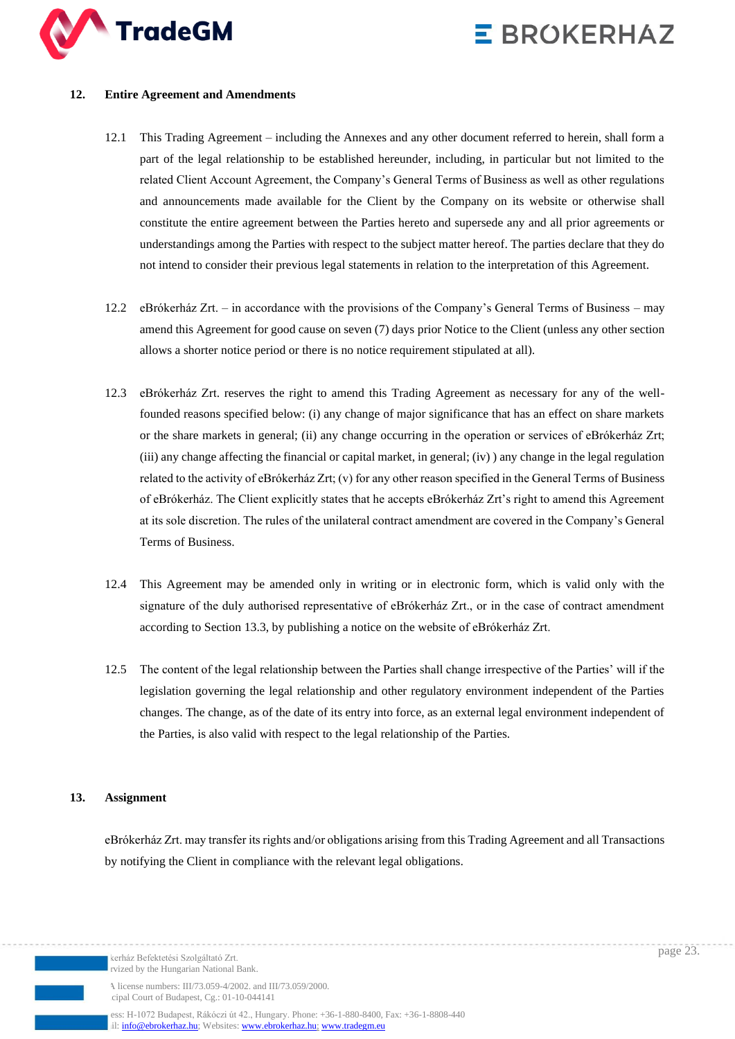

#### **12. Entire Agreement and Amendments**

- 12.1 This Trading Agreement including the Annexes and any other document referred to herein, shall form a part of the legal relationship to be established hereunder, including, in particular but not limited to the related Client Account Agreement, the Company's General Terms of Business as well as other regulations and announcements made available for the Client by the Company on its website or otherwise shall constitute the entire agreement between the Parties hereto and supersede any and all prior agreements or understandings among the Parties with respect to the subject matter hereof. The parties declare that they do not intend to consider their previous legal statements in relation to the interpretation of this Agreement.
- 12.2 eBrókerház Zrt. in accordance with the provisions of the Company's General Terms of Business may amend this Agreement for good cause on seven (7) days prior Notice to the Client (unless any other section allows a shorter notice period or there is no notice requirement stipulated at all).
- 12.3 eBrókerház Zrt. reserves the right to amend this Trading Agreement as necessary for any of the wellfounded reasons specified below: (i) any change of major significance that has an effect on share markets or the share markets in general; (ii) any change occurring in the operation or services of eBrókerház Zrt;  $(iii)$  any change affecting the financial or capital market, in general;  $(iv)$  any change in the legal regulation related to the activity of eBrókerház Zrt; (v) for any other reason specified in the General Terms of Business of eBrókerház. The Client explicitly states that he accepts eBrókerház Zrt's right to amend this Agreement at its sole discretion. The rules of the unilateral contract amendment are covered in the Company's General Terms of Business.
- 12.4 This Agreement may be amended only in writing or in electronic form, which is valid only with the signature of the duly authorised representative of eBrókerház Zrt., or in the case of contract amendment according to Section 13.3, by publishing a notice on the website of eBrókerház Zrt.
- 12.5 The content of the legal relationship between the Parties shall change irrespective of the Parties' will if the legislation governing the legal relationship and other regulatory environment independent of the Parties changes. The change, as of the date of its entry into force, as an external legal environment independent of the Parties, is also valid with respect to the legal relationship of the Parties.

### **13. Assignment**

eBrókerház Zrt. may transfer its rights and/or obligations arising from this Trading Agreement and all Transactions by notifying the Client in compliance with the relevant legal obligations.

kerház Befektetési Szolgáltató Zrt. rvized by the Hungarian National Bank.

A license numbers: III/73.059-4/2002. and III/73.059/2000. cipal Court of Budapest, Cg.: 01-10-044141

ess: H-1072 Budapest, Rákóczi út 42., Hungary. Phone: +36-1-880-8400, Fax: +36-1-8808-440 il[: info@ebrokerhaz.hu;](mailto:info@ebrokerhaz.hu) Websites: [www.ebrokerhaz.hu;](http://www.ebrokerhaz.hu/) [www.tradegm.eu](http://www.tradegm.eu/)

page 23.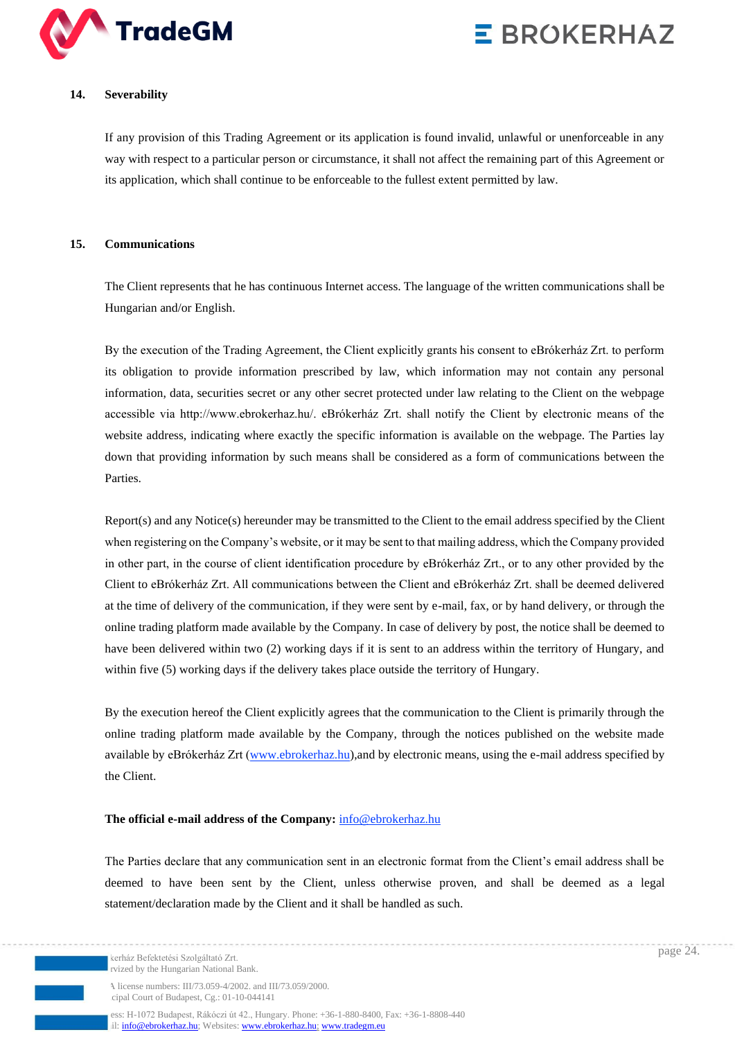

### **14. Severability**

If any provision of this Trading Agreement or its application is found invalid, unlawful or unenforceable in any way with respect to a particular person or circumstance, it shall not affect the remaining part of this Agreement or its application, which shall continue to be enforceable to the fullest extent permitted by law.

#### **15. Communications**

The Client represents that he has continuous Internet access. The language of the written communications shall be Hungarian and/or English.

By the execution of the Trading Agreement, the Client explicitly grants his consent to eBrókerház Zrt. to perform its obligation to provide information prescribed by law, which information may not contain any personal information, data, securities secret or any other secret protected under law relating to the Client on the webpage accessible via http://www.ebrokerhaz.hu/. eBrókerház Zrt. shall notify the Client by electronic means of the website address, indicating where exactly the specific information is available on the webpage. The Parties lay down that providing information by such means shall be considered as a form of communications between the Parties.

Report(s) and any Notice(s) hereunder may be transmitted to the Client to the email address specified by the Client when registering on the Company's website, or it may be sent to that mailing address, which the Company provided in other part, in the course of client identification procedure by eBrókerház Zrt., or to any other provided by the Client to eBrókerház Zrt. All communications between the Client and eBrókerház Zrt. shall be deemed delivered at the time of delivery of the communication, if they were sent by e-mail, fax, or by hand delivery, or through the online trading platform made available by the Company. In case of delivery by post, the notice shall be deemed to have been delivered within two (2) working days if it is sent to an address within the territory of Hungary, and within five (5) working days if the delivery takes place outside the territory of Hungary.

By the execution hereof the Client explicitly agrees that the communication to the Client is primarily through the online trading platform made available by the Company, through the notices published on the website made available by eBrókerház Zrt [\(www.ebrokerhaz.hu\)](http://www.ebrokerhaz.hu/), and by electronic means, using the e-mail address specified by the Client.

### **The official e-mail address of the Company:** [info@ebrokerhaz.hu](mailto:info@ebrokerhaz.hu)

The Parties declare that any communication sent in an electronic format from the Client's email address shall be deemed to have been sent by the Client, unless otherwise proven, and shall be deemed as a legal statement/declaration made by the Client and it shall be handled as such.

A license numbers: III/73.059-4/2002. and III/73.059/2000. cipal Court of Budapest, Cg.: 01-10-044141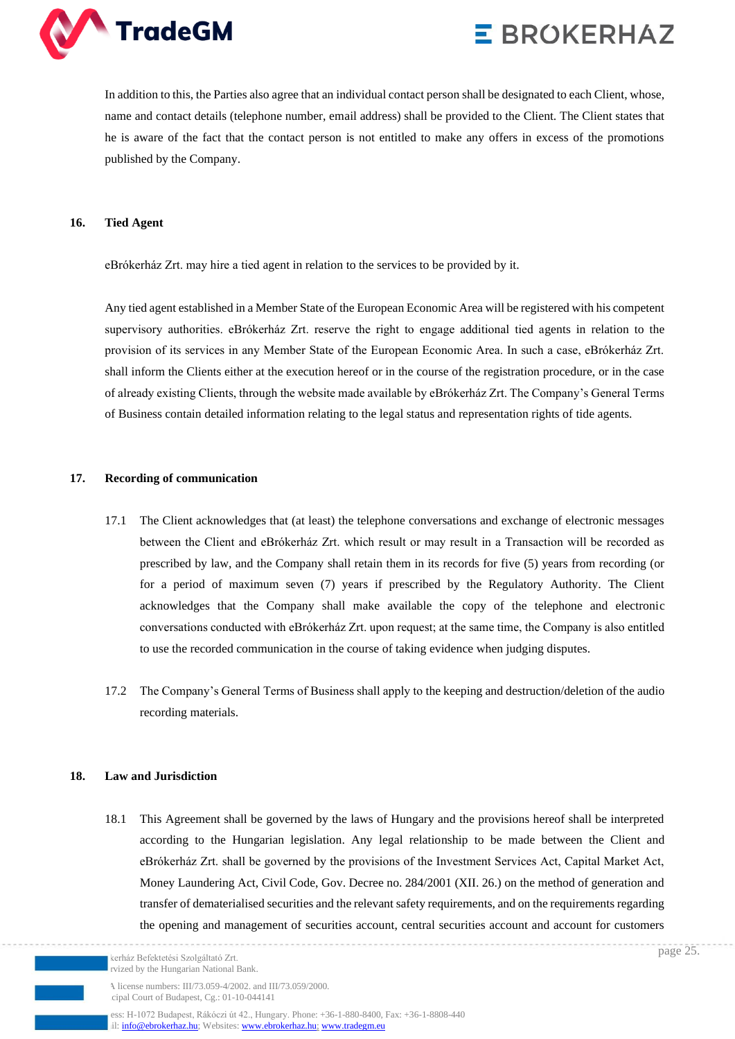

In addition to this, the Parties also agree that an individual contact person shall be designated to each Client, whose, name and contact details (telephone number, email address) shall be provided to the Client. The Client states that he is aware of the fact that the contact person is not entitled to make any offers in excess of the promotions published by the Company.

#### **16. Tied Agent**

eBrókerház Zrt. may hire a tied agent in relation to the services to be provided by it.

Any tied agent established in a Member State of the European Economic Area will be registered with his competent supervisory authorities. eBrókerház Zrt. reserve the right to engage additional tied agents in relation to the provision of its services in any Member State of the European Economic Area. In such a case, eBrókerház Zrt. shall inform the Clients either at the execution hereof or in the course of the registration procedure, or in the case of already existing Clients, through the website made available by eBrókerház Zrt. The Company's General Terms of Business contain detailed information relating to the legal status and representation rights of tide agents.

#### **17. Recording of communication**

- 17.1 The Client acknowledges that (at least) the telephone conversations and exchange of electronic messages between the Client and eBrókerház Zrt. which result or may result in a Transaction will be recorded as prescribed by law, and the Company shall retain them in its records for five (5) years from recording (or for a period of maximum seven (7) years if prescribed by the Regulatory Authority. The Client acknowledges that the Company shall make available the copy of the telephone and electronic conversations conducted with eBrókerház Zrt. upon request; at the same time, the Company is also entitled to use the recorded communication in the course of taking evidence when judging disputes.
- 17.2 The Company's General Terms of Business shall apply to the keeping and destruction/deletion of the audio recording materials.

### **18. Law and Jurisdiction**

18.1 This Agreement shall be governed by the laws of Hungary and the provisions hereof shall be interpreted according to the Hungarian legislation. Any legal relationship to be made between the Client and eBrókerház Zrt. shall be governed by the provisions of the Investment Services Act, Capital Market Act, Money Laundering Act, Civil Code, Gov. Decree no. 284/2001 (XII. 26.) on the method of generation and transfer of dematerialised securities and the relevant safety requirements, and on the requirements regarding the opening and management of securities account, central securities account and account for customers

kerház Befektetési Szolgáltató Zrt. rvized by the Hungarian National Bank

A license numbers: III/73.059-4/2002. and III/73.059/2000. cipal Court of Budapest, Cg.: 01-10-044141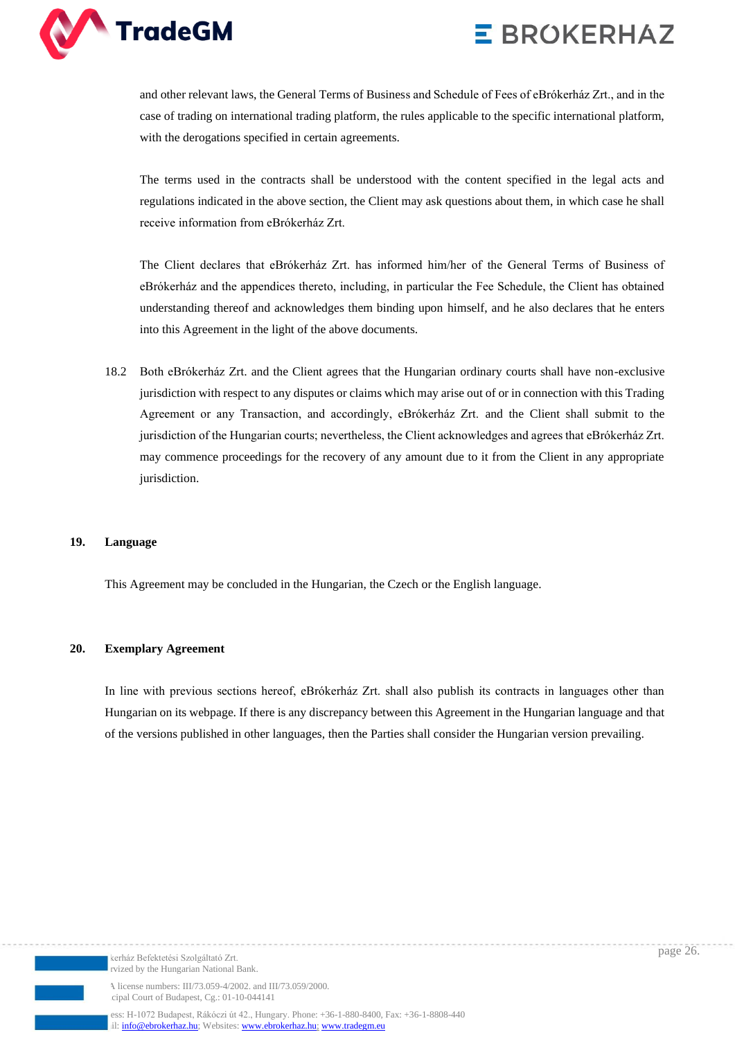

and other relevant laws, the General Terms of Business and Schedule of Fees of eBrókerház Zrt., and in the case of trading on international trading platform, the rules applicable to the specific international platform, with the derogations specified in certain agreements.

The terms used in the contracts shall be understood with the content specified in the legal acts and regulations indicated in the above section, the Client may ask questions about them, in which case he shall receive information from eBrókerház Zrt.

The Client declares that eBrókerház Zrt. has informed him/her of the General Terms of Business of eBrókerház and the appendices thereto, including, in particular the Fee Schedule, the Client has obtained understanding thereof and acknowledges them binding upon himself, and he also declares that he enters into this Agreement in the light of the above documents.

18.2 Both eBrókerház Zrt. and the Client agrees that the Hungarian ordinary courts shall have non-exclusive jurisdiction with respect to any disputes or claims which may arise out of or in connection with this Trading Agreement or any Transaction, and accordingly, eBrókerház Zrt. and the Client shall submit to the jurisdiction of the Hungarian courts; nevertheless, the Client acknowledges and agrees that eBrókerház Zrt. may commence proceedings for the recovery of any amount due to it from the Client in any appropriate jurisdiction.

#### **19. Language**

This Agreement may be concluded in the Hungarian, the Czech or the English language.

#### **20. Exemplary Agreement**

In line with previous sections hereof, eBrókerház Zrt. shall also publish its contracts in languages other than Hungarian on its webpage. If there is any discrepancy between this Agreement in the Hungarian language and that of the versions published in other languages, then the Parties shall consider the Hungarian version prevailing.

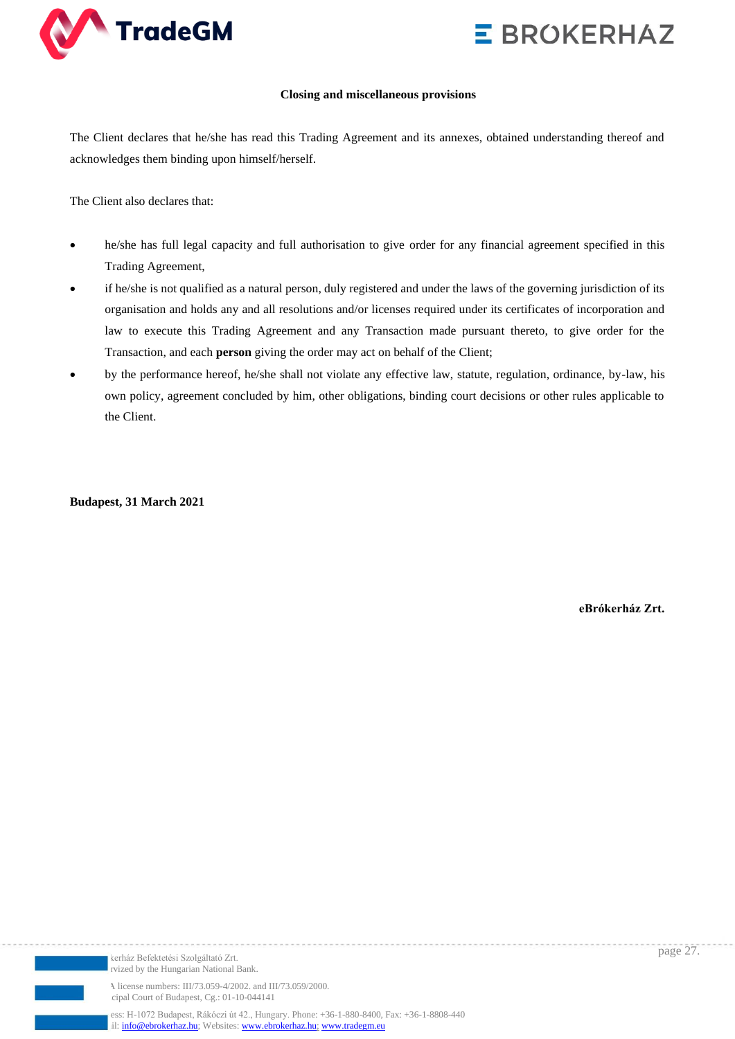

#### **Closing and miscellaneous provisions**

The Client declares that he/she has read this Trading Agreement and its annexes, obtained understanding thereof and acknowledges them binding upon himself/herself.

The Client also declares that:

- he/she has full legal capacity and full authorisation to give order for any financial agreement specified in this Trading Agreement,
- if he/she is not qualified as a natural person, duly registered and under the laws of the governing jurisdiction of its organisation and holds any and all resolutions and/or licenses required under its certificates of incorporation and law to execute this Trading Agreement and any Transaction made pursuant thereto, to give order for the Transaction, and each **person** giving the order may act on behalf of the Client;
- by the performance hereof, he/she shall not violate any effective law, statute, regulation, ordinance, by-law, his own policy, agreement concluded by him, other obligations, binding court decisions or other rules applicable to the Client.

**Budapest, 31 March 2021**

**eBrókerház Zrt.**



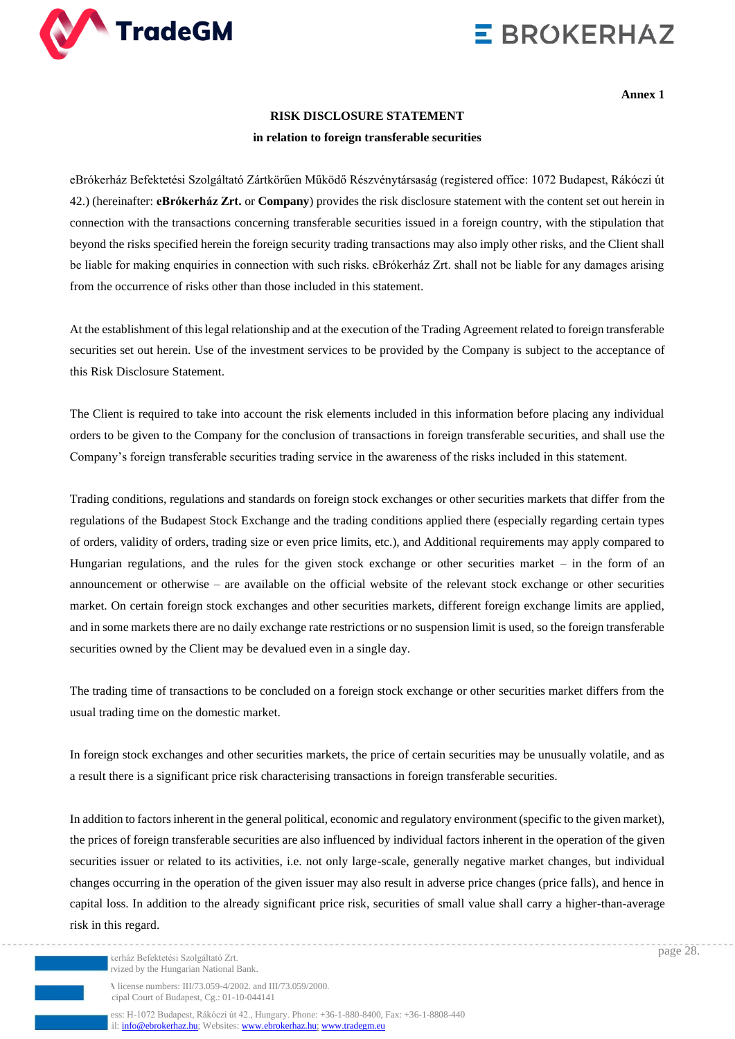

**Annex 1**

#### **RISK DISCLOSURE STATEMENT**

#### **in relation to foreign transferable securities**

eBrókerház Befektetési Szolgáltató Zártkörűen Működő Részvénytársaság (registered office: 1072 Budapest, Rákóczi út 42.) (hereinafter: **eBrókerház Zrt.** or **Company**) provides the risk disclosure statement with the content set out herein in connection with the transactions concerning transferable securities issued in a foreign country, with the stipulation that beyond the risks specified herein the foreign security trading transactions may also imply other risks, and the Client shall be liable for making enquiries in connection with such risks. eBrókerház Zrt. shall not be liable for any damages arising from the occurrence of risks other than those included in this statement.

At the establishment of this legal relationship and at the execution of the Trading Agreement related to foreign transferable securities set out herein. Use of the investment services to be provided by the Company is subject to the acceptance of this Risk Disclosure Statement.

The Client is required to take into account the risk elements included in this information before placing any individual orders to be given to the Company for the conclusion of transactions in foreign transferable securities, and shall use the Company's foreign transferable securities trading service in the awareness of the risks included in this statement.

Trading conditions, regulations and standards on foreign stock exchanges or other securities markets that differ from the regulations of the Budapest Stock Exchange and the trading conditions applied there (especially regarding certain types of orders, validity of orders, trading size or even price limits, etc.), and Additional requirements may apply compared to Hungarian regulations, and the rules for the given stock exchange or other securities market – in the form of an announcement or otherwise – are available on the official website of the relevant stock exchange or other securities market. On certain foreign stock exchanges and other securities markets, different foreign exchange limits are applied, and in some markets there are no daily exchange rate restrictions or no suspension limit is used, so the foreign transferable securities owned by the Client may be devalued even in a single day.

The trading time of transactions to be concluded on a foreign stock exchange or other securities market differs from the usual trading time on the domestic market.

In foreign stock exchanges and other securities markets, the price of certain securities may be unusually volatile, and as a result there is a significant price risk characterising transactions in foreign transferable securities.

In addition to factors inherent in the general political, economic and regulatory environment (specific to the given market), the prices of foreign transferable securities are also influenced by individual factors inherent in the operation of the given securities issuer or related to its activities, i.e. not only large-scale, generally negative market changes, but individual changes occurring in the operation of the given issuer may also result in adverse price changes (price falls), and hence in capital loss. In addition to the already significant price risk, securities of small value shall carry a higher-than-average risk in this regard.

A license numbers: III/73.059-4/2002. and III/73.059/2000. cipal Court of Budapest, Cg.: 01-10-044141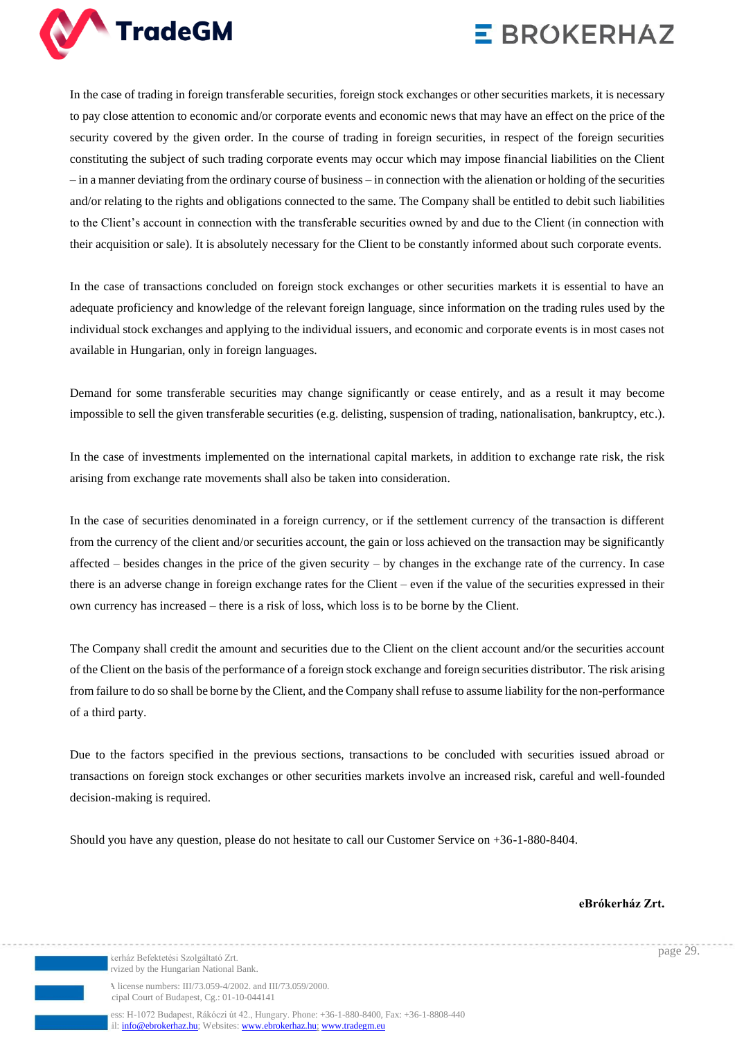

In the case of trading in foreign transferable securities, foreign stock exchanges or other securities markets, it is necessary to pay close attention to economic and/or corporate events and economic news that may have an effect on the price of the security covered by the given order. In the course of trading in foreign securities, in respect of the foreign securities constituting the subject of such trading corporate events may occur which may impose financial liabilities on the Client – in a manner deviating from the ordinary course of business – in connection with the alienation or holding of the securities and/or relating to the rights and obligations connected to the same. The Company shall be entitled to debit such liabilities to the Client's account in connection with the transferable securities owned by and due to the Client (in connection with their acquisition or sale). It is absolutely necessary for the Client to be constantly informed about such corporate events.

In the case of transactions concluded on foreign stock exchanges or other securities markets it is essential to have an adequate proficiency and knowledge of the relevant foreign language, since information on the trading rules used by the individual stock exchanges and applying to the individual issuers, and economic and corporate events is in most cases not available in Hungarian, only in foreign languages.

Demand for some transferable securities may change significantly or cease entirely, and as a result it may become impossible to sell the given transferable securities (e.g. delisting, suspension of trading, nationalisation, bankruptcy, etc.).

In the case of investments implemented on the international capital markets, in addition to exchange rate risk, the risk arising from exchange rate movements shall also be taken into consideration.

In the case of securities denominated in a foreign currency, or if the settlement currency of the transaction is different from the currency of the client and/or securities account, the gain or loss achieved on the transaction may be significantly affected – besides changes in the price of the given security – by changes in the exchange rate of the currency. In case there is an adverse change in foreign exchange rates for the Client – even if the value of the securities expressed in their own currency has increased – there is a risk of loss, which loss is to be borne by the Client.

The Company shall credit the amount and securities due to the Client on the client account and/or the securities account of the Client on the basis of the performance of a foreign stock exchange and foreign securities distributor. The risk arising from failure to do so shall be borne by the Client, and the Company shall refuse to assume liability for the non-performance of a third party.

Due to the factors specified in the previous sections, transactions to be concluded with securities issued abroad or transactions on foreign stock exchanges or other securities markets involve an increased risk, careful and well-founded decision-making is required.

Should you have any question, please do not hesitate to call our Customer Service on +36-1-880-8404.

**eBrókerház Zrt.**

page 29.

kerház Befektetési Szolgáltató Zrt. rvized by the Hungarian National Bank.

A license numbers: III/73.059-4/2002. and III/73.059/2000. cipal Court of Budapest, Cg.: 01-10-044141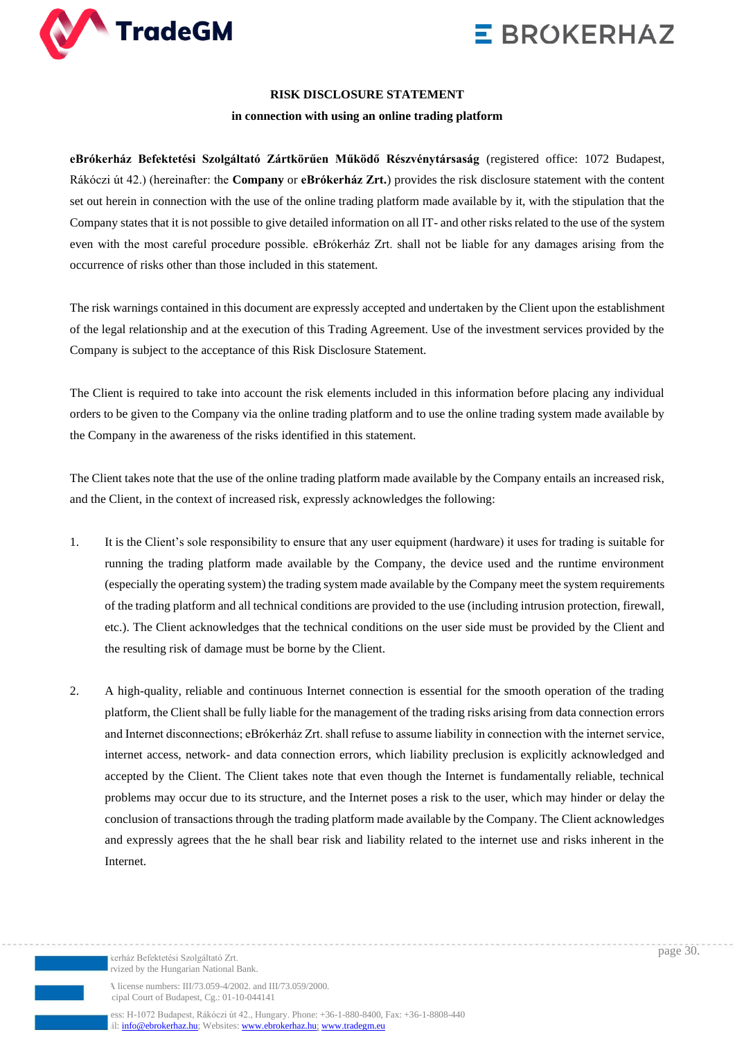



#### **RISK DISCLOSURE STATEMENT**

#### **in connection with using an online trading platform**

**eBrókerház Befektetési Szolgáltató Zártkörűen Működő Részvénytársaság** (registered office: 1072 Budapest, Rákóczi út 42.) (hereinafter: the **Company** or **eBrókerház Zrt.**) provides the risk disclosure statement with the content set out herein in connection with the use of the online trading platform made available by it, with the stipulation that the Company states that it is not possible to give detailed information on all IT- and other risks related to the use of the system even with the most careful procedure possible. eBrókerház Zrt. shall not be liable for any damages arising from the occurrence of risks other than those included in this statement.

The risk warnings contained in this document are expressly accepted and undertaken by the Client upon the establishment of the legal relationship and at the execution of this Trading Agreement. Use of the investment services provided by the Company is subject to the acceptance of this Risk Disclosure Statement.

The Client is required to take into account the risk elements included in this information before placing any individual orders to be given to the Company via the online trading platform and to use the online trading system made available by the Company in the awareness of the risks identified in this statement.

The Client takes note that the use of the online trading platform made available by the Company entails an increased risk, and the Client, in the context of increased risk, expressly acknowledges the following:

- 1. It is the Client's sole responsibility to ensure that any user equipment (hardware) it uses for trading is suitable for running the trading platform made available by the Company, the device used and the runtime environment (especially the operating system) the trading system made available by the Company meet the system requirements of the trading platform and all technical conditions are provided to the use (including intrusion protection, firewall, etc.). The Client acknowledges that the technical conditions on the user side must be provided by the Client and the resulting risk of damage must be borne by the Client.
- 2. A high-quality, reliable and continuous Internet connection is essential for the smooth operation of the trading platform, the Client shall be fully liable for the management of the trading risks arising from data connection errors and Internet disconnections; eBrókerház Zrt. shall refuse to assume liability in connection with the internet service, internet access, network- and data connection errors, which liability preclusion is explicitly acknowledged and accepted by the Client. The Client takes note that even though the Internet is fundamentally reliable, technical problems may occur due to its structure, and the Internet poses a risk to the user, which may hinder or delay the conclusion of transactions through the trading platform made available by the Company. The Client acknowledges and expressly agrees that the he shall bear risk and liability related to the internet use and risks inherent in the Internet.

kerház Befektetési Szolgáltató Zrt. rvized by the Hungarian National Bank.

A license numbers: III/73.059-4/2002. and III/73.059/2000. cipal Court of Budapest, Cg.: 01-10-044141

ess: H-1072 Budapest, Rákóczi út 42., Hungary. Phone: +36-1-880-8400, Fax: +36-1-8808-440 il[: info@ebrokerhaz.hu;](mailto:info@ebrokerhaz.hu) Websites: [www.ebrokerhaz.hu;](http://www.ebrokerhaz.hu/) [www.tradegm.eu](http://www.tradegm.eu/)

page 30.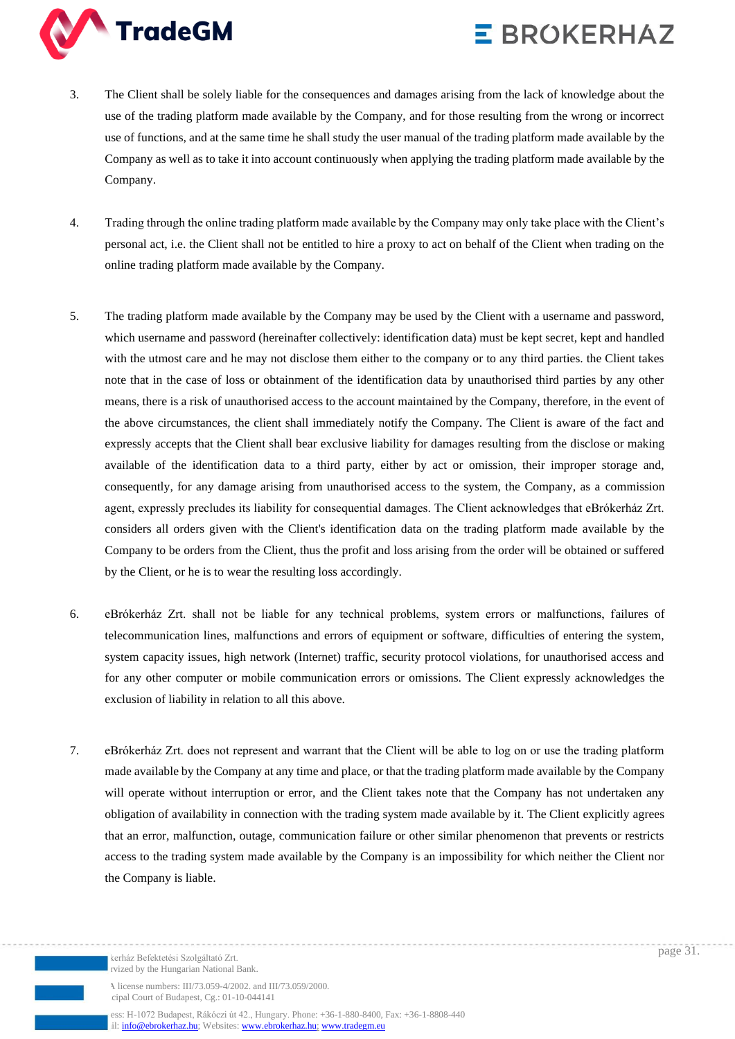

- 3. The Client shall be solely liable for the consequences and damages arising from the lack of knowledge about the use of the trading platform made available by the Company, and for those resulting from the wrong or incorrect use of functions, and at the same time he shall study the user manual of the trading platform made available by the Company as well as to take it into account continuously when applying the trading platform made available by the Company.
- 4. Trading through the online trading platform made available by the Company may only take place with the Client's personal act, i.e. the Client shall not be entitled to hire a proxy to act on behalf of the Client when trading on the online trading platform made available by the Company.
- 5. The trading platform made available by the Company may be used by the Client with a username and password, which username and password (hereinafter collectively: identification data) must be kept secret, kept and handled with the utmost care and he may not disclose them either to the company or to any third parties, the Client takes note that in the case of loss or obtainment of the identification data by unauthorised third parties by any other means, there is a risk of unauthorised access to the account maintained by the Company, therefore, in the event of the above circumstances, the client shall immediately notify the Company. The Client is aware of the fact and expressly accepts that the Client shall bear exclusive liability for damages resulting from the disclose or making available of the identification data to a third party, either by act or omission, their improper storage and, consequently, for any damage arising from unauthorised access to the system, the Company, as a commission agent, expressly precludes its liability for consequential damages. The Client acknowledges that eBrókerház Zrt. considers all orders given with the Client's identification data on the trading platform made available by the Company to be orders from the Client, thus the profit and loss arising from the order will be obtained or suffered by the Client, or he is to wear the resulting loss accordingly.
- 6. eBrókerház Zrt. shall not be liable for any technical problems, system errors or malfunctions, failures of telecommunication lines, malfunctions and errors of equipment or software, difficulties of entering the system, system capacity issues, high network (Internet) traffic, security protocol violations, for unauthorised access and for any other computer or mobile communication errors or omissions. The Client expressly acknowledges the exclusion of liability in relation to all this above.
- 7. eBrókerház Zrt. does not represent and warrant that the Client will be able to log on or use the trading platform made available by the Company at any time and place, or that the trading platform made available by the Company will operate without interruption or error, and the Client takes note that the Company has not undertaken any obligation of availability in connection with the trading system made available by it. The Client explicitly agrees that an error, malfunction, outage, communication failure or other similar phenomenon that prevents or restricts access to the trading system made available by the Company is an impossibility for which neither the Client nor the Company is liable.

kerház Befektetési Szolgáltató Zrt. rvized by the Hungarian National Bank.

A license numbers: III/73.059-4/2002. and III/73.059/2000. cipal Court of Budapest, Cg.: 01-10-044141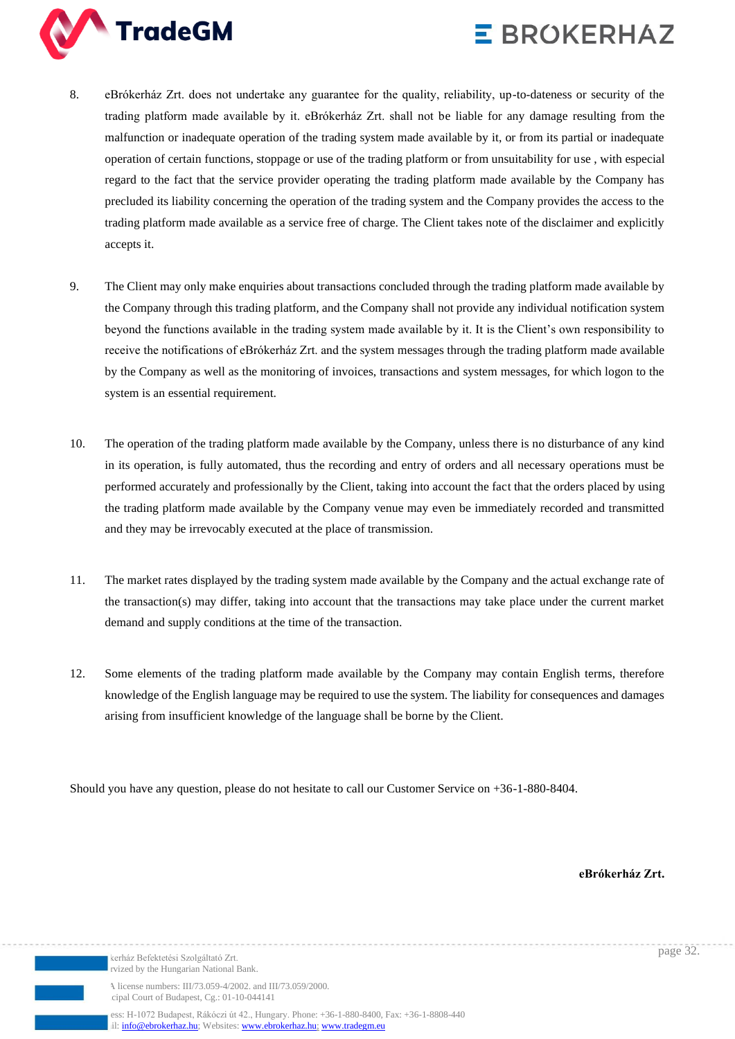



- 8. eBrókerház Zrt. does not undertake any guarantee for the quality, reliability, up-to-dateness or security of the trading platform made available by it. eBrókerház Zrt. shall not be liable for any damage resulting from the malfunction or inadequate operation of the trading system made available by it, or from its partial or inadequate operation of certain functions, stoppage or use of the trading platform or from unsuitability for use , with especial regard to the fact that the service provider operating the trading platform made available by the Company has precluded its liability concerning the operation of the trading system and the Company provides the access to the trading platform made available as a service free of charge. The Client takes note of the disclaimer and explicitly accepts it.
- 9. The Client may only make enquiries about transactions concluded through the trading platform made available by the Company through this trading platform, and the Company shall not provide any individual notification system beyond the functions available in the trading system made available by it. It is the Client's own responsibility to receive the notifications of eBrókerház Zrt. and the system messages through the trading platform made available by the Company as well as the monitoring of invoices, transactions and system messages, for which logon to the system is an essential requirement.
- 10. The operation of the trading platform made available by the Company, unless there is no disturbance of any kind in its operation, is fully automated, thus the recording and entry of orders and all necessary operations must be performed accurately and professionally by the Client, taking into account the fact that the orders placed by using the trading platform made available by the Company venue may even be immediately recorded and transmitted and they may be irrevocably executed at the place of transmission.
- 11. The market rates displayed by the trading system made available by the Company and the actual exchange rate of the transaction(s) may differ, taking into account that the transactions may take place under the current market demand and supply conditions at the time of the transaction.
- 12. Some elements of the trading platform made available by the Company may contain English terms, therefore knowledge of the English language may be required to use the system. The liability for consequences and damages arising from insufficient knowledge of the language shall be borne by the Client.

Should you have any question, please do not hesitate to call our Customer Service on +36-1-880-8404.

**eBrókerház Zrt.**

rvized by the Hungarian National Bank.

kerház Befektetési Szolgáltató Zrt.

page 32.

A license numbers: III/73.059-4/2002. and III/73.059/2000. cipal Court of Budapest, Cg.: 01-10-044141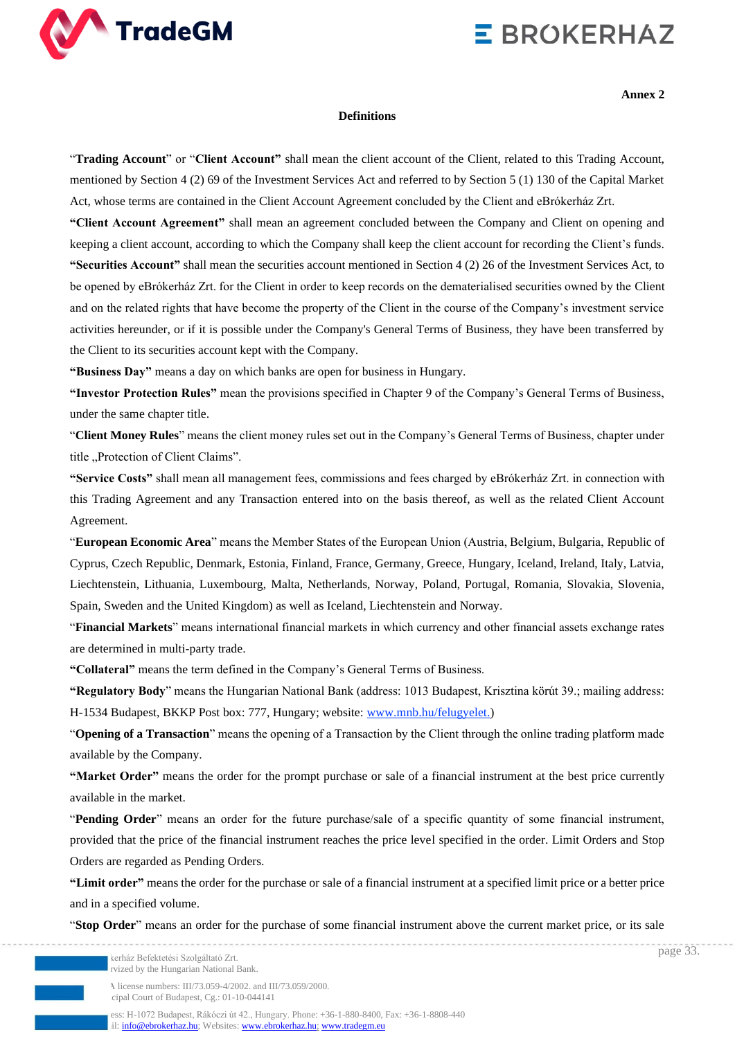

**Annex 2**

page 33.

#### **Definitions**

"**Trading Account**" or "**Client Account"** shall mean the client account of the Client, related to this Trading Account, mentioned by Section 4 (2) 69 of the Investment Services Act and referred to by Section 5 (1) 130 of the Capital Market Act, whose terms are contained in the Client Account Agreement concluded by the Client and eBrókerház Zrt.

**"Client Account Agreement"** shall mean an agreement concluded between the Company and Client on opening and keeping a client account, according to which the Company shall keep the client account for recording the Client's funds. **"Securities Account"** shall mean the securities account mentioned in Section 4 (2) 26 of the Investment Services Act, to be opened by eBrókerház Zrt. for the Client in order to keep records on the dematerialised securities owned by the Client and on the related rights that have become the property of the Client in the course of the Company's investment service activities hereunder, or if it is possible under the Company's General Terms of Business, they have been transferred by the Client to its securities account kept with the Company.

**"Business Day"** means a day on which banks are open for business in Hungary.

**"Investor Protection Rules"** mean the provisions specified in Chapter 9 of the Company's General Terms of Business, under the same chapter title.

"**Client Money Rules**" means the client money rules set out in the Company's General Terms of Business, chapter under title "Protection of Client Claims".

**"Service Costs"** shall mean all management fees, commissions and fees charged by eBrókerház Zrt. in connection with this Trading Agreement and any Transaction entered into on the basis thereof, as well as the related Client Account Agreement.

"**European Economic Area**" means the Member States of the European Union (Austria, Belgium, Bulgaria, Republic of Cyprus, Czech Republic, Denmark, Estonia, Finland, France, Germany, Greece, Hungary, Iceland, Ireland, Italy, Latvia, Liechtenstein, Lithuania, Luxembourg, Malta, Netherlands, Norway, Poland, Portugal, Romania, Slovakia, Slovenia, Spain, Sweden and the United Kingdom) as well as Iceland, Liechtenstein and Norway.

"**Financial Markets**" means international financial markets in which currency and other financial assets exchange rates are determined in multi-party trade.

**"Collateral"** means the term defined in the Company's General Terms of Business.

**"Regulatory Body**" means the Hungarian National Bank (address: 1013 Budapest, Krisztina körút 39.; mailing address: H-1534 Budapest, BKKP Post box: 777, Hungary; website: [www.mnb.hu/felugyelet.](http://www.mnb.hu/felugyelet))

"**Opening of a Transaction**" means the opening of a Transaction by the Client through the online trading platform made available by the Company.

**"Market Order"** means the order for the prompt purchase or sale of a financial instrument at the best price currently available in the market.

"**Pending Order**" means an order for the future purchase/sale of a specific quantity of some financial instrument, provided that the price of the financial instrument reaches the price level specified in the order. Limit Orders and Stop Orders are regarded as Pending Orders.

**"Limit order"** means the order for the purchase or sale of a financial instrument at a specified limit price or a better price and in a specified volume.

"**Stop Order**" means an order for the purchase of some financial instrument above the current market price, or its sale

kerház Befektetési Szolgáltató Zrt. rvized by the Hungarian National Bank.

A license numbers: III/73.059-4/2002. and III/73.059/2000. cipal Court of Budapest, Cg.: 01-10-044141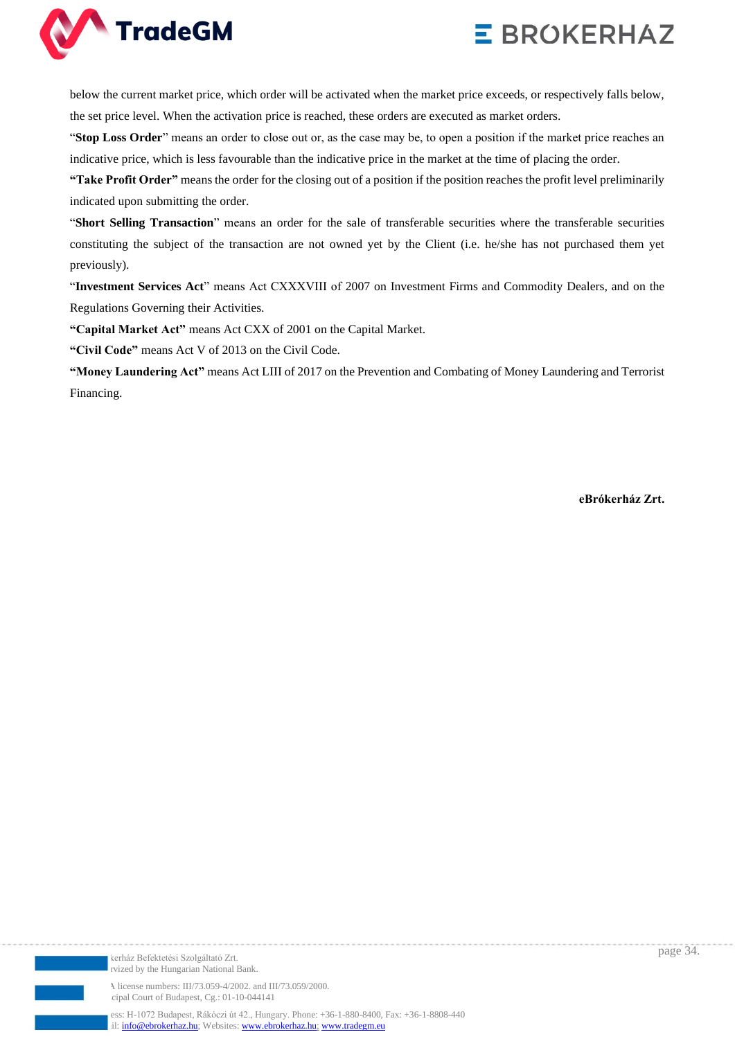



below the current market price, which order will be activated when the market price exceeds, or respectively falls below, the set price level. When the activation price is reached, these orders are executed as market orders.

"**Stop Loss Order**" means an order to close out or, as the case may be, to open a position if the market price reaches an indicative price, which is less favourable than the indicative price in the market at the time of placing the order.

**"Take Profit Order"** means the order for the closing out of a position if the position reaches the profit level preliminarily indicated upon submitting the order.

"**Short Selling Transaction**" means an order for the sale of transferable securities where the transferable securities constituting the subject of the transaction are not owned yet by the Client (i.e. he/she has not purchased them yet previously).

"**Investment Services Act**" means Act CXXXVIII of 2007 on Investment Firms and Commodity Dealers, and on the Regulations Governing their Activities.

**"Capital Market Act"** means Act CXX of 2001 on the Capital Market.

**"Civil Code"** means Act V of 2013 on the Civil Code.

**"Money Laundering Act"** means Act LIII of 2017 on the Prevention and Combating of Money Laundering and Terrorist Financing.

**eBrókerház Zrt.**



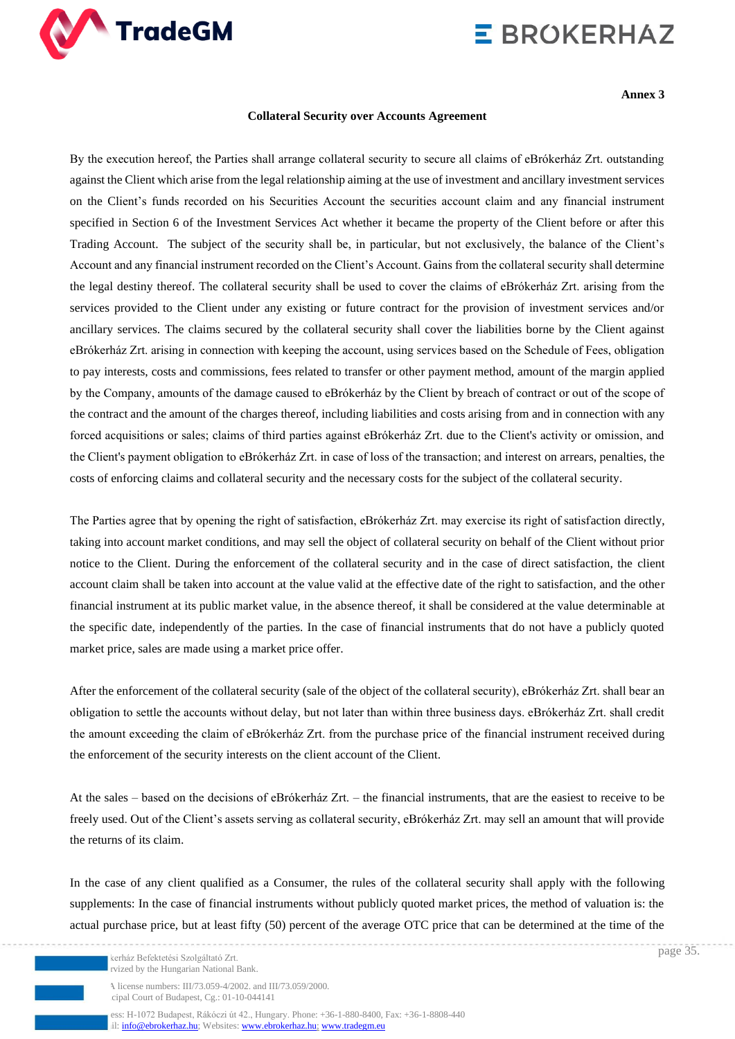

**Annex 3**

#### **Collateral Security over Accounts Agreement**

By the execution hereof, the Parties shall arrange collateral security to secure all claims of eBrókerház Zrt. outstanding against the Client which arise from the legal relationship aiming at the use of investment and ancillary investment services on the Client's funds recorded on his Securities Account the securities account claim and any financial instrument specified in Section 6 of the Investment Services Act whether it became the property of the Client before or after this Trading Account. The subject of the security shall be, in particular, but not exclusively, the balance of the Client's Account and any financial instrument recorded on the Client's Account. Gains from the collateral security shall determine the legal destiny thereof. The collateral security shall be used to cover the claims of eBrókerház Zrt. arising from the services provided to the Client under any existing or future contract for the provision of investment services and/or ancillary services. The claims secured by the collateral security shall cover the liabilities borne by the Client against eBrókerház Zrt. arising in connection with keeping the account, using services based on the Schedule of Fees, obligation to pay interests, costs and commissions, fees related to transfer or other payment method, amount of the margin applied by the Company, amounts of the damage caused to eBrókerház by the Client by breach of contract or out of the scope of the contract and the amount of the charges thereof, including liabilities and costs arising from and in connection with any forced acquisitions or sales; claims of third parties against eBrókerház Zrt. due to the Client's activity or omission, and the Client's payment obligation to eBrókerház Zrt. in case of loss of the transaction; and interest on arrears, penalties, the costs of enforcing claims and collateral security and the necessary costs for the subject of the collateral security.

The Parties agree that by opening the right of satisfaction, eBrókerház Zrt. may exercise its right of satisfaction directly, taking into account market conditions, and may sell the object of collateral security on behalf of the Client without prior notice to the Client. During the enforcement of the collateral security and in the case of direct satisfaction, the client account claim shall be taken into account at the value valid at the effective date of the right to satisfaction, and the other financial instrument at its public market value, in the absence thereof, it shall be considered at the value determinable at the specific date, independently of the parties. In the case of financial instruments that do not have a publicly quoted market price, sales are made using a market price offer.

After the enforcement of the collateral security (sale of the object of the collateral security), eBrókerház Zrt. shall bear an obligation to settle the accounts without delay, but not later than within three business days. eBrókerház Zrt. shall credit the amount exceeding the claim of eBrókerház Zrt. from the purchase price of the financial instrument received during the enforcement of the security interests on the client account of the Client.

At the sales – based on the decisions of eBrókerház Zrt. – the financial instruments, that are the easiest to receive to be freely used. Out of the Client's assets serving as collateral security, eBrókerház Zrt. may sell an amount that will provide the returns of its claim.

In the case of any client qualified as a Consumer, the rules of the collateral security shall apply with the following supplements: In the case of financial instruments without publicly quoted market prices, the method of valuation is: the actual purchase price, but at least fifty (50) percent of the average OTC price that can be determined at the time of the

kerház Befektetési Szolgáltató Zrt. rvized by the Hungarian National Bank

A license numbers: III/73.059-4/2002. and III/73.059/2000. cipal Court of Budapest, Cg.: 01-10-044141